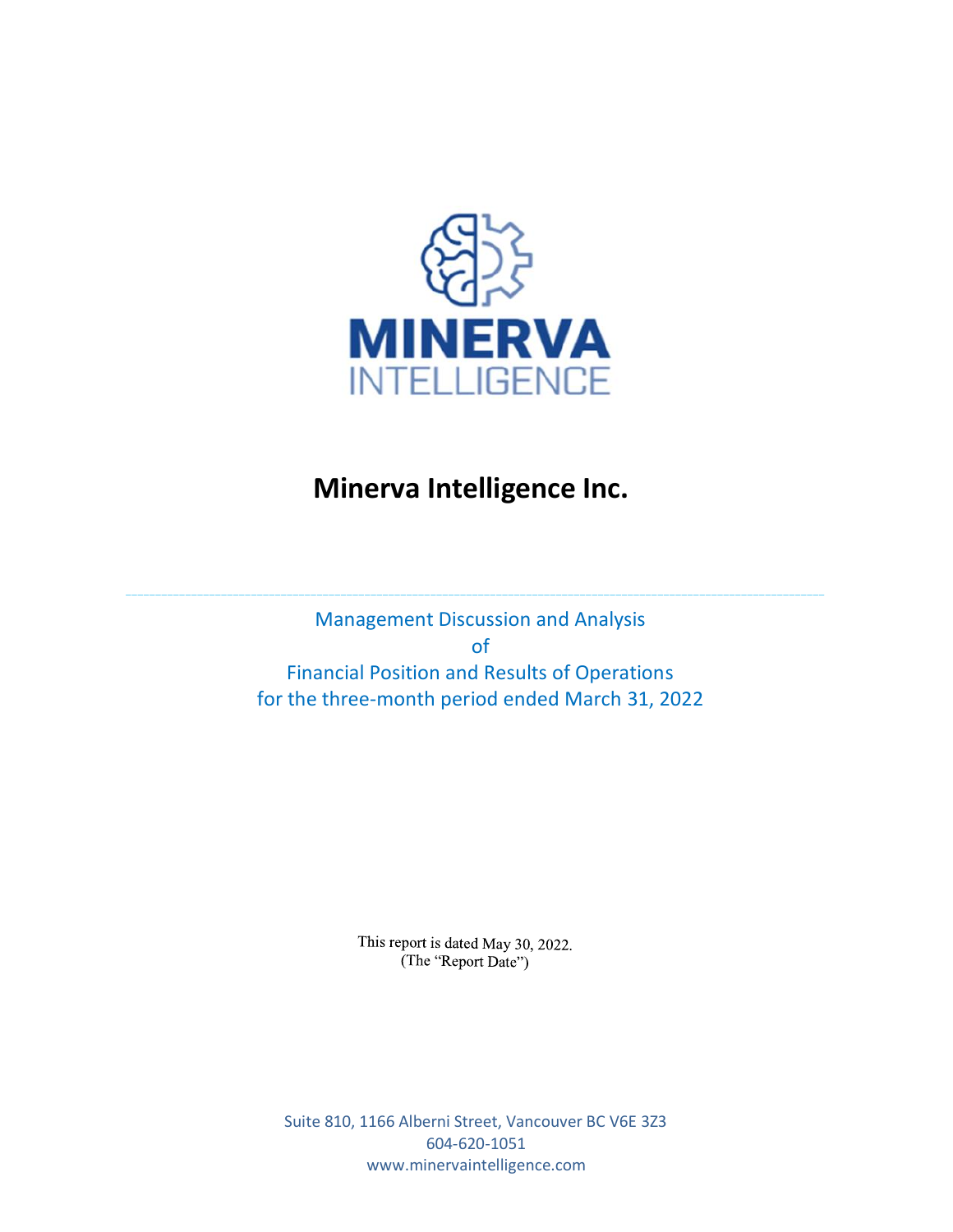

# **Minerva Intelligence Inc.**

Management Discussion and Analysis of Financial Position and Results of Operations for the three-month period ended March 31, 2022

 $\_$  , and the set of the set of the set of the set of the set of the set of the set of the set of the set of the set of the set of the set of the set of the set of the set of the set of the set of the set of the set of th

This report is dated May 30, 2022. (The "Report Date")

Suite 810, 1166 Alberni Street, Vancouver BC V6E 3Z3 604-620-1051 www.minervaintelligence.com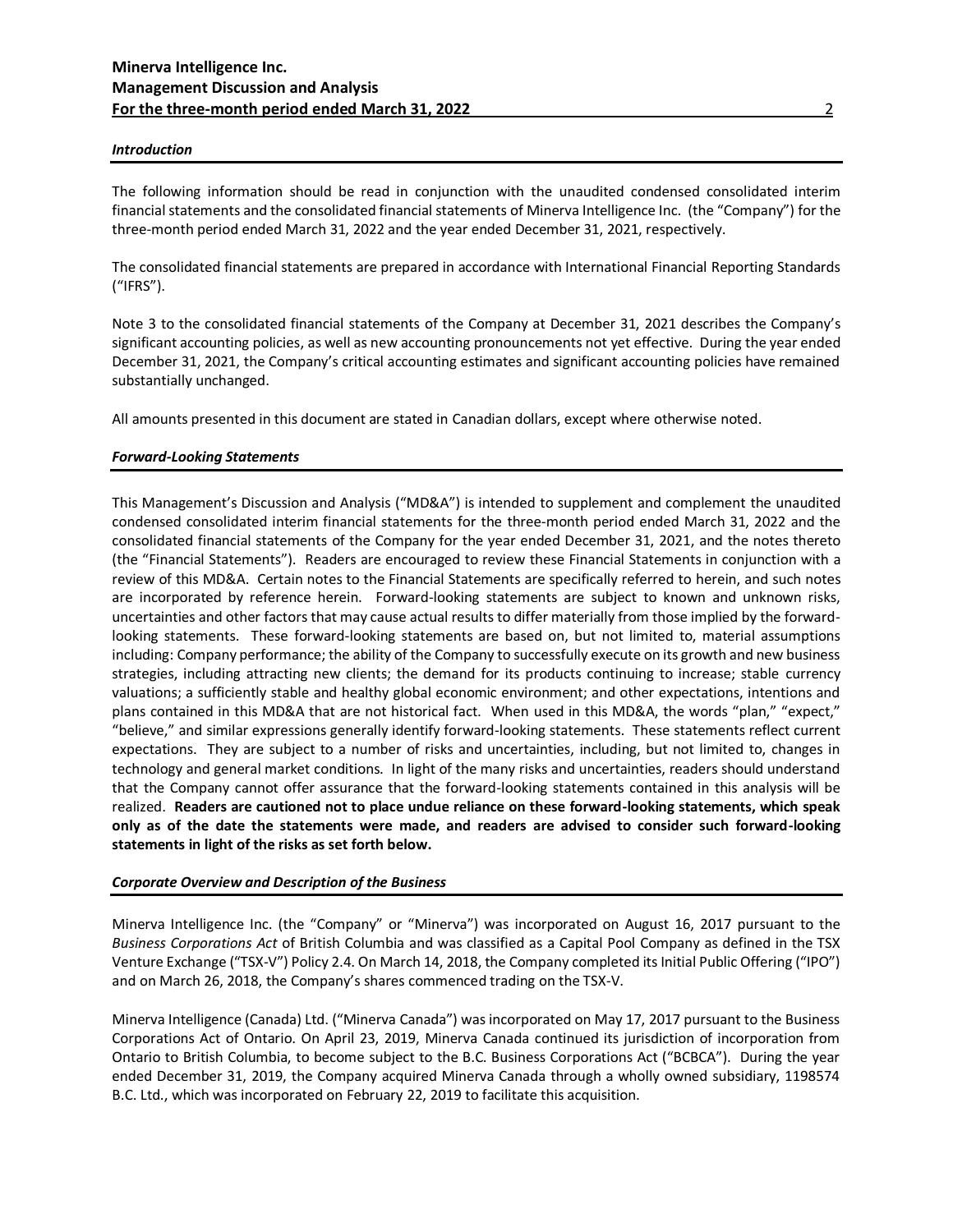#### *Introduction*

The following information should be read in conjunction with the unaudited condensed consolidated interim financial statements and the consolidated financial statements of Minerva Intelligence Inc. (the "Company") for the three-month period ended March 31, 2022 and the year ended December 31, 2021, respectively.

The consolidated financial statements are prepared in accordance with International Financial Reporting Standards ("IFRS").

Note 3 to the consolidated financial statements of the Company at December 31, 2021 describes the Company's significant accounting policies, as well as new accounting pronouncements not yet effective. During the year ended December 31, 2021, the Company's critical accounting estimates and significant accounting policies have remained substantially unchanged.

All amounts presented in this document are stated in Canadian dollars, except where otherwise noted.

#### *Forward-Looking Statements*

This Management's Discussion and Analysis ("MD&A") is intended to supplement and complement the unaudited condensed consolidated interim financial statements for the three-month period ended March 31, 2022 and the consolidated financial statements of the Company for the year ended December 31, 2021, and the notes thereto (the "Financial Statements"). Readers are encouraged to review these Financial Statements in conjunction with a review of this MD&A. Certain notes to the Financial Statements are specifically referred to herein, and such notes are incorporated by reference herein. Forward-looking statements are subject to known and unknown risks, uncertainties and other factors that may cause actual results to differ materially from those implied by the forwardlooking statements. These forward-looking statements are based on, but not limited to, material assumptions including: Company performance; the ability of the Company to successfully execute on its growth and new business strategies, including attracting new clients; the demand for its products continuing to increase; stable currency valuations; a sufficiently stable and healthy global economic environment; and other expectations, intentions and plans contained in this MD&A that are not historical fact. When used in this MD&A, the words "plan," "expect," "believe," and similar expressions generally identify forward-looking statements. These statements reflect current expectations. They are subject to a number of risks and uncertainties, including, but not limited to, changes in technology and general market conditions. In light of the many risks and uncertainties, readers should understand that the Company cannot offer assurance that the forward-looking statements contained in this analysis will be realized. **Readers are cautioned not to place undue reliance on these forward-looking statements, which speak only as of the date the statements were made, and readers are advised to consider such forward-looking statements in light of the risks as set forth below.**

#### *Corporate Overview and Description of the Business*

Minerva Intelligence Inc. (the "Company" or "Minerva") was incorporated on August 16, 2017 pursuant to the *Business Corporations Act* of British Columbia and was classified as a Capital Pool Company as defined in the TSX Venture Exchange ("TSX-V") Policy 2.4. On March 14, 2018, the Company completed its Initial Public Offering ("IPO") and on March 26, 2018, the Company's shares commenced trading on the TSX-V.

Minerva Intelligence (Canada) Ltd. ("Minerva Canada") was incorporated on May 17, 2017 pursuant to the Business Corporations Act of Ontario. On April 23, 2019, Minerva Canada continued its jurisdiction of incorporation from Ontario to British Columbia, to become subject to the B.C. Business Corporations Act ("BCBCA"). During the year ended December 31, 2019, the Company acquired Minerva Canada through a wholly owned subsidiary, 1198574 B.C. Ltd., which was incorporated on February 22, 2019 to facilitate this acquisition.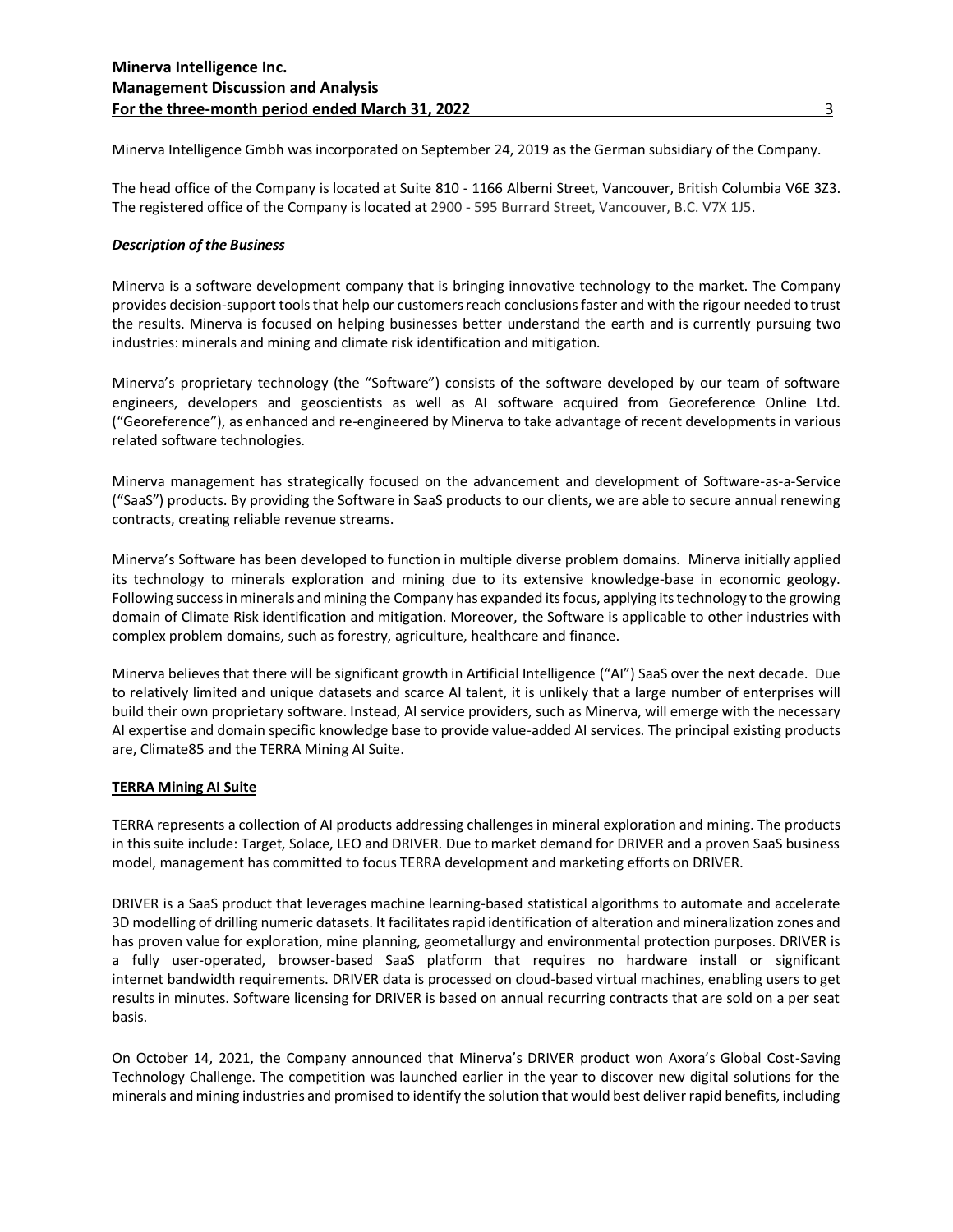Minerva Intelligence Gmbh was incorporated on September 24, 2019 as the German subsidiary of the Company.

The head office of the Company is located at Suite 810 - 1166 Alberni Street, Vancouver, British Columbia V6E 3Z3. The registered office of the Company is located at 2900 - 595 Burrard Street, Vancouver, B.C. V7X 1J5.

#### *Description of the Business*

Minerva is a software development company that is bringing innovative technology to the market. The Company provides decision-support tools that help our customers reach conclusions faster and with the rigour needed to trust the results. Minerva is focused on helping businesses better understand the earth and is currently pursuing two industries: minerals and mining and climate risk identification and mitigation.

Minerva's proprietary technology (the "Software") consists of the software developed by our team of software engineers, developers and geoscientists as well as AI software acquired from Georeference Online Ltd. ("Georeference"), as enhanced and re-engineered by Minerva to take advantage of recent developments in various related software technologies.

Minerva management has strategically focused on the advancement and development of Software-as-a-Service ("SaaS") products. By providing the Software in SaaS products to our clients, we are able to secure annual renewing contracts, creating reliable revenue streams.

Minerva's Software has been developed to function in multiple diverse problem domains. Minerva initially applied its technology to minerals exploration and mining due to its extensive knowledge-base in economic geology. Following success in minerals and mining the Company has expanded its focus, applying its technology to the growing domain of Climate Risk identification and mitigation. Moreover, the Software is applicable to other industries with complex problem domains, such as forestry, agriculture, healthcare and finance.

Minerva believes that there will be significant growth in Artificial Intelligence ("AI") SaaS over the next decade. Due to relatively limited and unique datasets and scarce AI talent, it is unlikely that a large number of enterprises will build their own proprietary software. Instead, AI service providers, such as Minerva, will emerge with the necessary AI expertise and domain specific knowledge base to provide value-added AI services. The principal existing products are, Climate85 and the TERRA Mining AI Suite.

# **TERRA Mining AI Suite**

TERRA represents a collection of AI products addressing challenges in mineral exploration and mining. The products in this suite include: Target, Solace, LEO and DRIVER. Due to market demand for DRIVER and a proven SaaS business model, management has committed to focus TERRA development and marketing efforts on DRIVER.

DRIVER is a SaaS product that leverages machine learning-based statistical algorithms to automate and accelerate 3D modelling of drilling numeric datasets. It facilitates rapid identification of alteration and mineralization zones and has proven value for exploration, mine planning, geometallurgy and environmental protection purposes. DRIVER is a fully user-operated, browser-based SaaS platform that requires no hardware install or significant internet bandwidth requirements. DRIVER data is processed on cloud-based virtual machines, enabling users to get results in minutes. Software licensing for DRIVER is based on annual recurring contracts that are sold on a per seat basis.

On October 14, 2021, the Company announced that Minerva's DRIVER product won Axora's Global Cost-Saving Technology Challenge. The competition was launched earlier in the year to discover new digital solutions for the minerals and mining industries and promised to identify the solution that would best deliver rapid benefits, including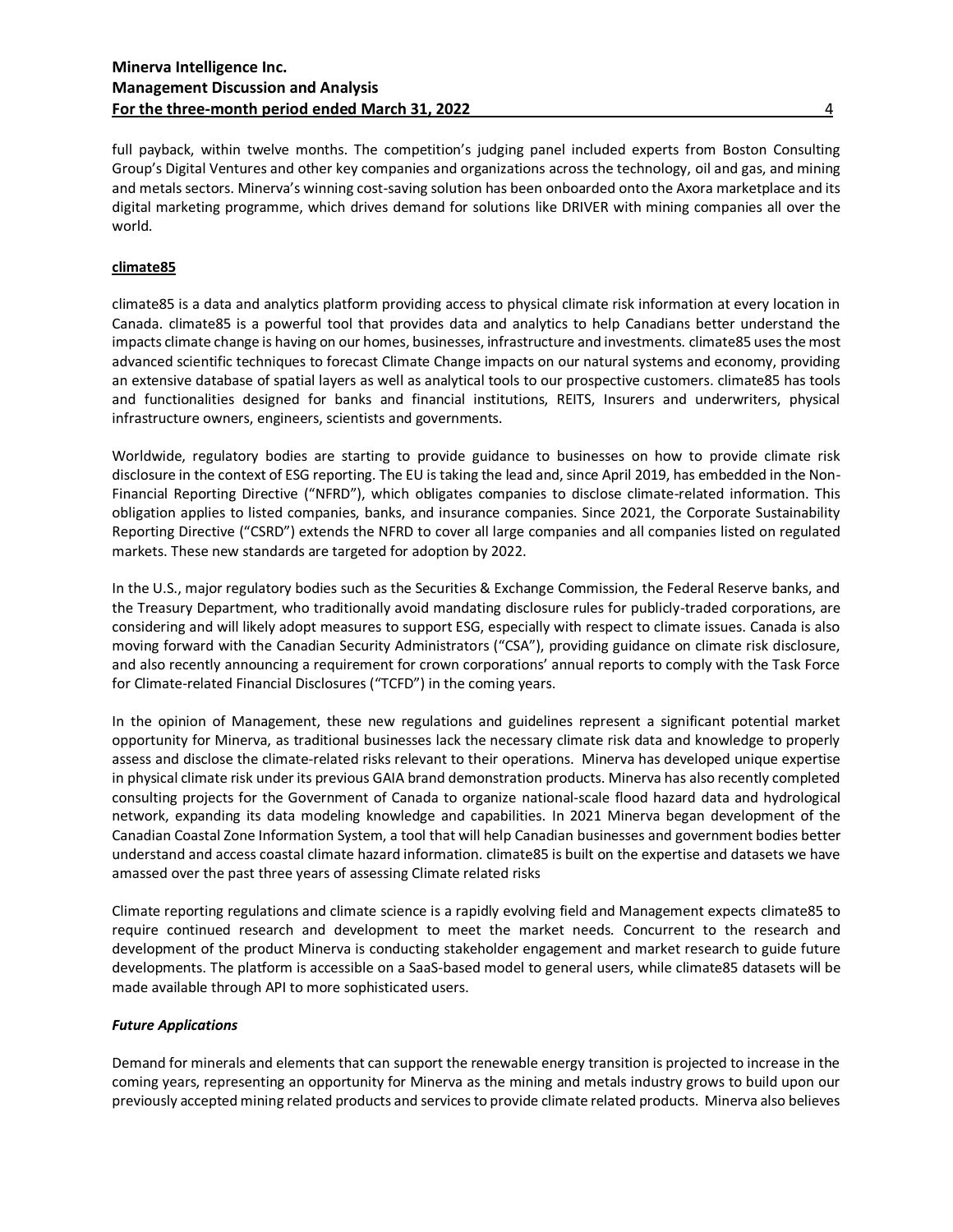# **Minerva Intelligence Inc. Management Discussion and Analysis For the three-month period ended March 31, 2022** 4

full payback, within twelve months. The competition's judging panel included experts from Boston Consulting Group's Digital Ventures and other key companies and organizations across the technology, oil and gas, and mining and metals sectors. Minerva's winning cost-saving solution has been onboarded onto the Axora marketplace and its digital marketing programme, which drives demand for solutions like DRIVER with mining companies all over the world.

# **climate85**

climate85 is a data and analytics platform providing access to physical climate risk information at every location in Canada. climate85 is a powerful tool that provides data and analytics to help Canadians better understand the impacts climate change is having on our homes, businesses, infrastructure and investments. climate85 uses the most advanced scientific techniques to forecast Climate Change impacts on our natural systems and economy, providing an extensive database of spatial layers as well as analytical tools to our prospective customers. climate85 has tools and functionalities designed for banks and financial institutions, REITS, Insurers and underwriters, physical infrastructure owners, engineers, scientists and governments.

Worldwide, regulatory bodies are starting to provide guidance to businesses on how to provide climate risk disclosure in the context of ESG reporting. The EU is taking the lead and, since April 2019, has embedded in the Non-Financial Reporting Directive ("NFRD"), which obligates companies to disclose climate-related information. This obligation applies to listed companies, banks, and insurance companies. Since 2021, the Corporate Sustainability Reporting Directive ("CSRD") extends the NFRD to cover all large companies and all companies listed on regulated markets. These new standards are targeted for adoption by 2022.

In the U.S., major regulatory bodies such as the Securities & Exchange Commission, the Federal Reserve banks, and the Treasury Department, who traditionally avoid mandating disclosure rules for publicly-traded corporations, are considering and will likely adopt measures to support ESG, especially with respect to climate issues. Canada is also moving forward with the Canadian Security Administrators ("CSA"), providing guidance on climate risk disclosure, and also recently announcing a requirement for crown corporations' annual reports to comply with the Task Force for Climate-related Financial Disclosures ("TCFD") in the coming years.

In the opinion of Management, these new regulations and guidelines represent a significant potential market opportunity for Minerva, as traditional businesses lack the necessary climate risk data and knowledge to properly assess and disclose the climate-related risks relevant to their operations. Minerva has developed unique expertise in physical climate risk under its previous GAIA brand demonstration products. Minerva has also recently completed consulting projects for the Government of Canada to organize national-scale flood hazard data and hydrological network, expanding its data modeling knowledge and capabilities. In 2021 Minerva began development of the Canadian Coastal Zone Information System, a tool that will help Canadian businesses and government bodies better understand and access coastal climate hazard information. climate85 is built on the expertise and datasets we have amassed over the past three years of assessing Climate related risks

Climate reporting regulations and climate science is a rapidly evolving field and Management expects climate85 to require continued research and development to meet the market needs. Concurrent to the research and development of the product Minerva is conducting stakeholder engagement and market research to guide future developments. The platform is accessible on a SaaS-based model to general users, while climate85 datasets will be made available through API to more sophisticated users.

#### *Future Applications*

Demand for minerals and elements that can support the renewable energy transition is projected to increase in the coming years, representing an opportunity for Minerva as the mining and metals industry grows to build upon our previously accepted mining related products and services to provide climate related products. Minerva also believes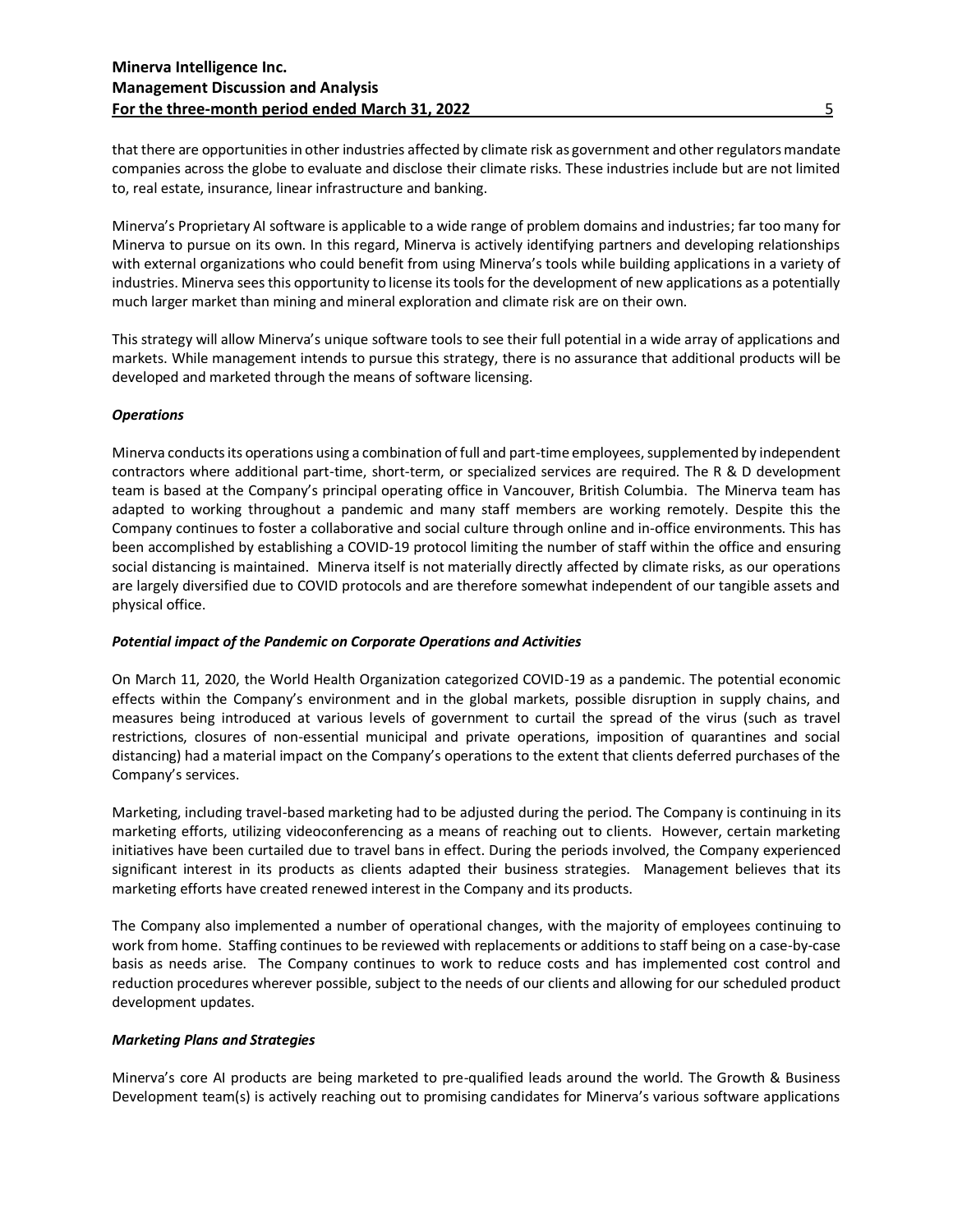that there are opportunities in other industries affected by climate risk as government and other regulators mandate companies across the globe to evaluate and disclose their climate risks. These industries include but are not limited to, real estate, insurance, linear infrastructure and banking.

Minerva's Proprietary AI software is applicable to a wide range of problem domains and industries; far too many for Minerva to pursue on its own. In this regard, Minerva is actively identifying partners and developing relationships with external organizations who could benefit from using Minerva's tools while building applications in a variety of industries. Minerva seesthis opportunity to license its tools for the development of new applications as a potentially much larger market than mining and mineral exploration and climate risk are on their own.

This strategy will allow Minerva's unique software tools to see their full potential in a wide array of applications and markets. While management intends to pursue this strategy, there is no assurance that additional products will be developed and marketed through the means of software licensing.

# *Operations*

Minerva conducts its operations using a combination of full and part-time employees, supplemented by independent contractors where additional part-time, short-term, or specialized services are required. The R & D development team is based at the Company's principal operating office in Vancouver, British Columbia. The Minerva team has adapted to working throughout a pandemic and many staff members are working remotely. Despite this the Company continues to foster a collaborative and social culture through online and in-office environments. This has been accomplished by establishing a COVID-19 protocol limiting the number of staff within the office and ensuring social distancing is maintained. Minerva itself is not materially directly affected by climate risks, as our operations are largely diversified due to COVID protocols and are therefore somewhat independent of our tangible assets and physical office.

# *Potential impact of the Pandemic on Corporate Operations and Activities*

On March 11, 2020, the World Health Organization categorized COVID-19 as a pandemic. The potential economic effects within the Company's environment and in the global markets, possible disruption in supply chains, and measures being introduced at various levels of government to curtail the spread of the virus (such as travel restrictions, closures of non-essential municipal and private operations, imposition of quarantines and social distancing) had a material impact on the Company's operations to the extent that clients deferred purchases of the Company's services.

Marketing, including travel-based marketing had to be adjusted during the period. The Company is continuing in its marketing efforts, utilizing videoconferencing as a means of reaching out to clients. However, certain marketing initiatives have been curtailed due to travel bans in effect. During the periods involved, the Company experienced significant interest in its products as clients adapted their business strategies. Management believes that its marketing efforts have created renewed interest in the Company and its products.

The Company also implemented a number of operational changes, with the majority of employees continuing to work from home. Staffing continues to be reviewed with replacements or additions to staff being on a case-by-case basis as needs arise. The Company continues to work to reduce costs and has implemented cost control and reduction procedures wherever possible, subject to the needs of our clients and allowing for our scheduled product development updates.

# *Marketing Plans and Strategies*

Minerva's core AI products are being marketed to pre-qualified leads around the world. The Growth & Business Development team(s) is actively reaching out to promising candidates for Minerva's various software applications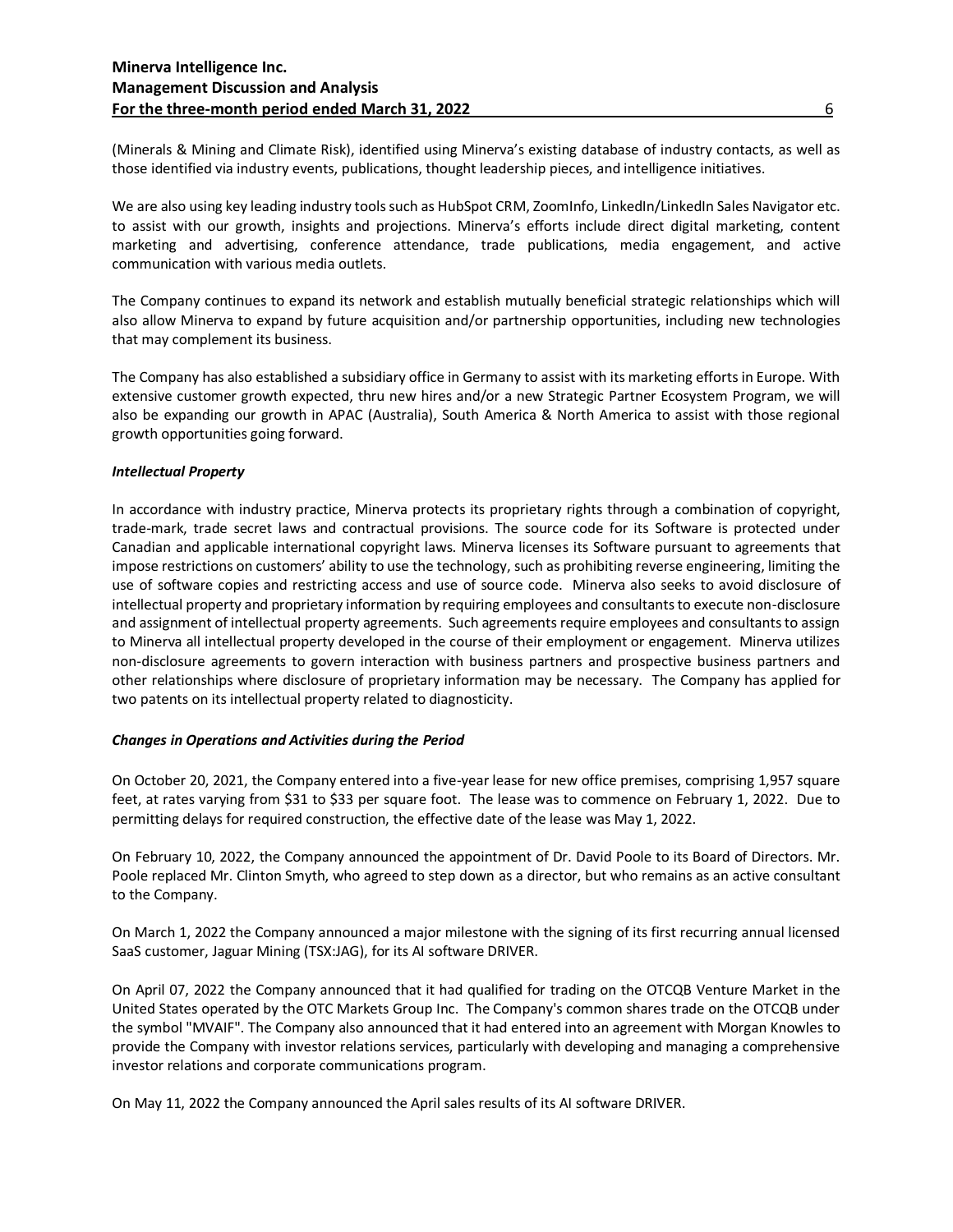(Minerals & Mining and Climate Risk), identified using Minerva's existing database of industry contacts, as well as those identified via industry events, publications, thought leadership pieces, and intelligence initiatives.

We are also using key leading industry tools such as HubSpot CRM, ZoomInfo, LinkedIn/LinkedIn Sales Navigator etc. to assist with our growth, insights and projections. Minerva's efforts include direct digital marketing, content marketing and advertising, conference attendance, trade publications, media engagement, and active communication with various media outlets.

The Company continues to expand its network and establish mutually beneficial strategic relationships which will also allow Minerva to expand by future acquisition and/or partnership opportunities, including new technologies that may complement its business.

The Company has also established a subsidiary office in Germany to assist with its marketing efforts in Europe. With extensive customer growth expected, thru new hires and/or a new Strategic Partner Ecosystem Program, we will also be expanding our growth in APAC (Australia), South America & North America to assist with those regional growth opportunities going forward.

# *Intellectual Property*

In accordance with industry practice, Minerva protects its proprietary rights through a combination of copyright, trade-mark, trade secret laws and contractual provisions. The source code for its Software is protected under Canadian and applicable international copyright laws. Minerva licenses its Software pursuant to agreements that impose restrictions on customers' ability to use the technology, such as prohibiting reverse engineering, limiting the use of software copies and restricting access and use of source code. Minerva also seeks to avoid disclosure of intellectual property and proprietary information by requiring employees and consultants to execute non-disclosure and assignment of intellectual property agreements. Such agreements require employees and consultants to assign to Minerva all intellectual property developed in the course of their employment or engagement. Minerva utilizes non-disclosure agreements to govern interaction with business partners and prospective business partners and other relationships where disclosure of proprietary information may be necessary. The Company has applied for two patents on its intellectual property related to diagnosticity.

#### *Changes in Operations and Activities during the Period*

On October 20, 2021, the Company entered into a five-year lease for new office premises, comprising 1,957 square feet, at rates varying from \$31 to \$33 per square foot. The lease was to commence on February 1, 2022. Due to permitting delays for required construction, the effective date of the lease was May 1, 2022.

On February 10, 2022, the Company announced the appointment of Dr. David Poole to its Board of Directors. Mr. Poole replaced Mr. Clinton Smyth, who agreed to step down as a director, but who remains as an active consultant to the Company.

On March 1, 2022 the Company announced a major milestone with the signing of its first recurring annual licensed SaaS customer, Jaguar Mining (TSX:JAG), for its AI software DRIVER.

On April 07, 2022 the Company announced that it had qualified for trading on the OTCQB Venture Market in the United States operated by the OTC Markets Group Inc. The Company's common shares trade on the OTCQB under the symbol "MVAIF". The Company also announced that it had entered into an agreement with Morgan Knowles to provide the Company with investor relations services, particularly with developing and managing a comprehensive investor relations and corporate communications program.

On May 11, 2022 the Company announced the April sales results of its AI software DRIVER.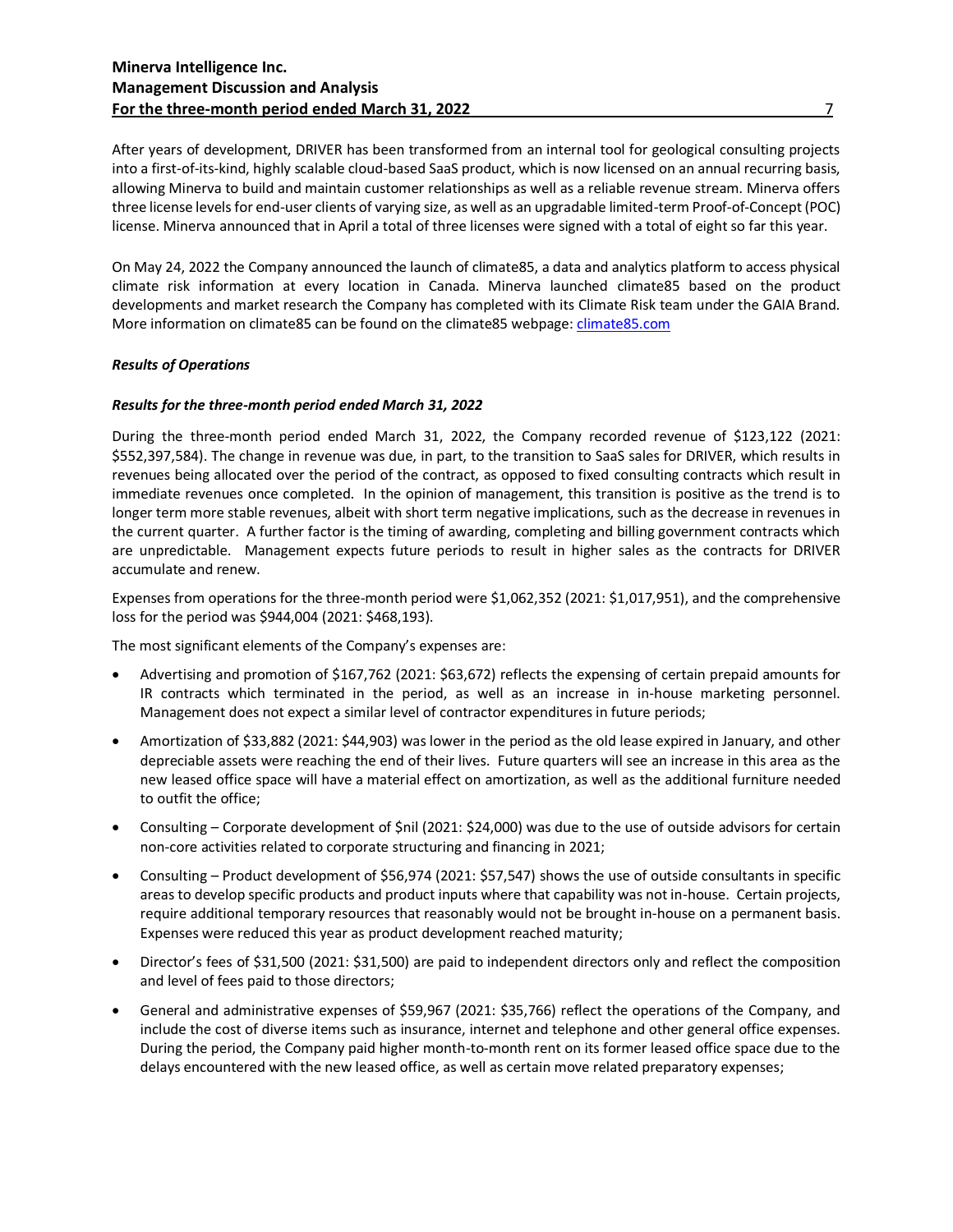After years of development, DRIVER has been transformed from an internal tool for geological consulting projects into a first-of-its-kind, highly scalable cloud-based SaaS product, which is now licensed on an annual recurring basis, allowing Minerva to build and maintain customer relationships as well as a reliable revenue stream. Minerva offers three license levels for end-user clients of varying size, as well as an upgradable limited-term Proof-of-Concept (POC) license. Minerva announced that in April a total of three licenses were signed with a total of eight so far this year.

On May 24, 2022 the Company announced the launch of climate85, a data and analytics platform to access physical climate risk information at every location in Canada. Minerva launched climate85 based on the product developments and market research the Company has completed with its Climate Risk team under the GAIA Brand. More information on climate85 can be found on the climate85 webpage[: climate85.com](https://climate85.com/)

# *Results of Operations*

#### *Results for the three-month period ended March 31, 2022*

During the three-month period ended March 31, 2022, the Company recorded revenue of \$123,122 (2021: \$552,397,584). The change in revenue was due, in part, to the transition to SaaS sales for DRIVER, which results in revenues being allocated over the period of the contract, as opposed to fixed consulting contracts which result in immediate revenues once completed. In the opinion of management, this transition is positive as the trend is to longer term more stable revenues, albeit with short term negative implications, such as the decrease in revenues in the current quarter. A further factor is the timing of awarding, completing and billing government contracts which are unpredictable. Management expects future periods to result in higher sales as the contracts for DRIVER accumulate and renew.

Expenses from operations for the three-month period were \$1,062,352 (2021: \$1,017,951), and the comprehensive loss for the period was \$944,004 (2021: \$468,193).

The most significant elements of the Company's expenses are:

- Advertising and promotion of \$167,762 (2021: \$63,672) reflects the expensing of certain prepaid amounts for IR contracts which terminated in the period, as well as an increase in in-house marketing personnel. Management does not expect a similar level of contractor expenditures in future periods;
- Amortization of \$33,882 (2021: \$44,903) was lower in the period as the old lease expired in January, and other depreciable assets were reaching the end of their lives. Future quarters will see an increase in this area as the new leased office space will have a material effect on amortization, as well as the additional furniture needed to outfit the office;
- Consulting Corporate development of \$nil (2021: \$24,000) was due to the use of outside advisors for certain non-core activities related to corporate structuring and financing in 2021;
- Consulting Product development of \$56,974 (2021: \$57,547) shows the use of outside consultants in specific areas to develop specific products and product inputs where that capability was not in-house. Certain projects, require additional temporary resources that reasonably would not be brought in-house on a permanent basis. Expenses were reduced this year as product development reached maturity;
- Director's fees of \$31,500 (2021: \$31,500) are paid to independent directors only and reflect the composition and level of fees paid to those directors;
- General and administrative expenses of \$59,967 (2021: \$35,766) reflect the operations of the Company, and include the cost of diverse items such as insurance, internet and telephone and other general office expenses. During the period, the Company paid higher month-to-month rent on its former leased office space due to the delays encountered with the new leased office, as well as certain move related preparatory expenses;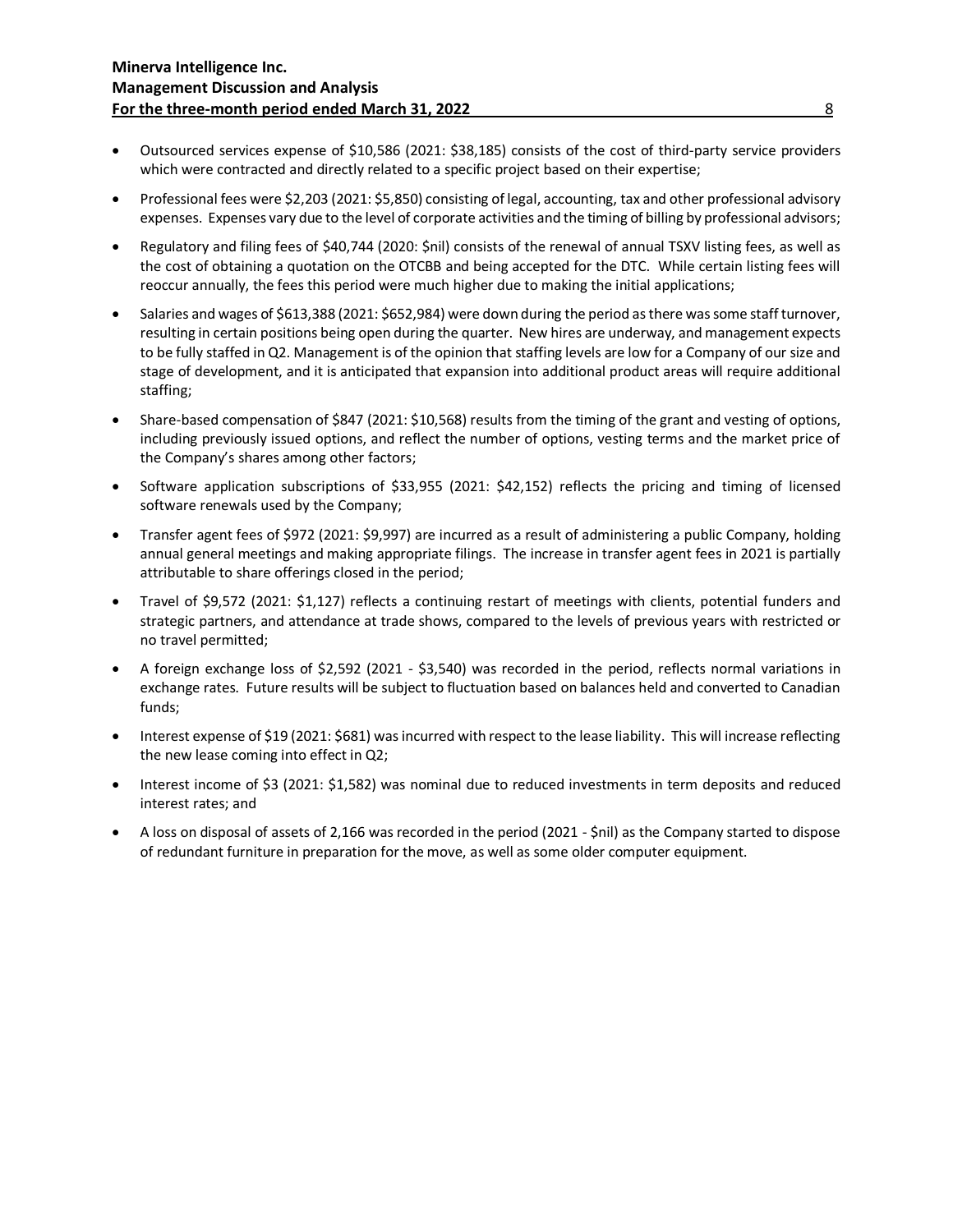- Outsourced services expense of \$10,586 (2021: \$38,185) consists of the cost of third-party service providers which were contracted and directly related to a specific project based on their expertise;
- Professional fees were \$2,203 (2021: \$5,850) consisting of legal, accounting, tax and other professional advisory expenses. Expenses vary due to the level of corporate activities and the timing of billing by professional advisors;
- Regulatory and filing fees of \$40,744 (2020: \$nil) consists of the renewal of annual TSXV listing fees, as well as the cost of obtaining a quotation on the OTCBB and being accepted for the DTC. While certain listing fees will reoccur annually, the fees this period were much higher due to making the initial applications;
- Salaries and wages of \$613,388 (2021: \$652,984) were down during the period as there was some staff turnover, resulting in certain positions being open during the quarter. New hires are underway, and management expects to be fully staffed in Q2. Management is of the opinion that staffing levels are low for a Company of our size and stage of development, and it is anticipated that expansion into additional product areas will require additional staffing;
- Share-based compensation of \$847 (2021: \$10,568) results from the timing of the grant and vesting of options, including previously issued options, and reflect the number of options, vesting terms and the market price of the Company's shares among other factors;
- Software application subscriptions of \$33,955 (2021: \$42,152) reflects the pricing and timing of licensed software renewals used by the Company;
- Transfer agent fees of \$972 (2021: \$9,997) are incurred as a result of administering a public Company, holding annual general meetings and making appropriate filings. The increase in transfer agent fees in 2021 is partially attributable to share offerings closed in the period;
- Travel of \$9,572 (2021: \$1,127) reflects a continuing restart of meetings with clients, potential funders and strategic partners, and attendance at trade shows, compared to the levels of previous years with restricted or no travel permitted;
- A foreign exchange loss of \$2,592 (2021 \$3,540) was recorded in the period, reflects normal variations in exchange rates. Future results will be subject to fluctuation based on balances held and converted to Canadian funds;
- Interest expense of \$19 (2021: \$681) was incurred with respect to the lease liability. This will increase reflecting the new lease coming into effect in Q2;
- Interest income of \$3 (2021: \$1,582) was nominal due to reduced investments in term deposits and reduced interest rates; and
- A loss on disposal of assets of 2,166 was recorded in the period (2021 \$nil) as the Company started to dispose of redundant furniture in preparation for the move, as well as some older computer equipment.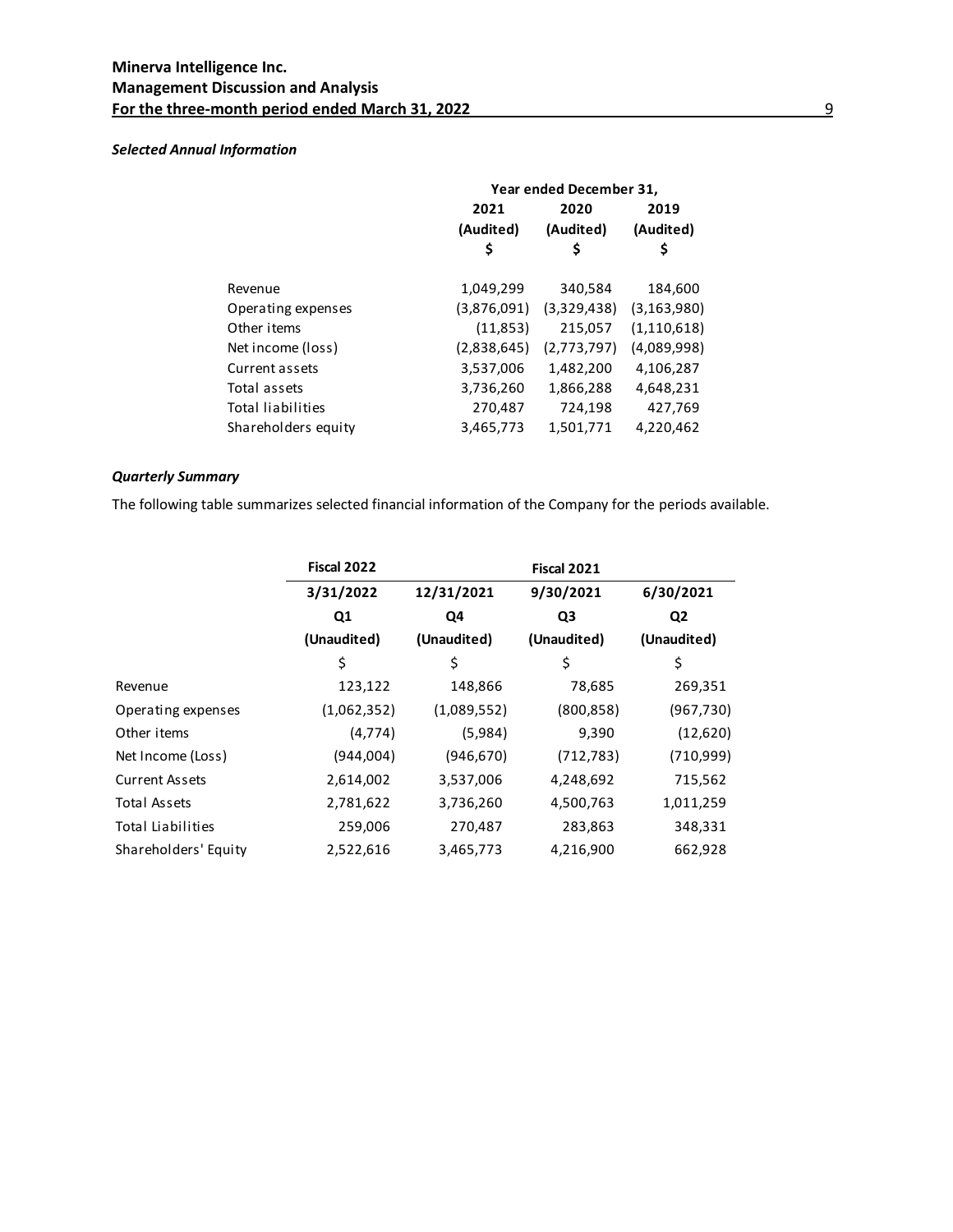# *Selected Annual Information*

| Year ended December 31, |             |               |  |
|-------------------------|-------------|---------------|--|
| 2021                    | 2020        | 2019          |  |
| (Audited)               | (Audited)   | (Audited)     |  |
| S                       | S           | \$            |  |
| 1,049,299               | 340,584     | 184,600       |  |
| (3,876,091)             | (3,329,438) | (3, 163, 980) |  |
| (11, 853)               | 215,057     | (1, 110, 618) |  |
| (2,838,645)             | (2,773,797) | (4,089,998)   |  |
| 3,537,006               | 1,482,200   | 4,106,287     |  |
| 3,736,260               | 1,866,288   | 4,648,231     |  |
| 270,487                 | 724,198     | 427,769       |  |
| 3,465,773               | 1,501,771   | 4,220,462     |  |
|                         |             |               |  |

# *Quarterly Summary*

The following table summarizes selected financial information of the Company for the periods available.

|                       |             | <b>Fiscal 2021</b> |                |                |
|-----------------------|-------------|--------------------|----------------|----------------|
|                       | 3/31/2022   | 12/31/2021         | 9/30/2021      | 6/30/2021      |
|                       | Q1          | Q4                 | Q <sub>3</sub> | Q <sub>2</sub> |
|                       | (Unaudited) | (Unaudited)        | (Unaudited)    | (Unaudited)    |
|                       | \$          | \$                 | \$             | \$             |
| Revenue               | 123,122     | 148,866            | 78,685         | 269,351        |
| Operating expenses    | (1,062,352) | (1,089,552)        | (800, 858)     | (967, 730)     |
| Other items           | (4, 774)    | (5,984)            | 9,390          | (12,620)       |
| Net Income (Loss)     | (944,004)   | (946, 670)         | (712, 783)     | (710,999)      |
| <b>Current Assets</b> | 2,614,002   | 3,537,006          | 4,248,692      | 715,562        |
| Total Assets          | 2,781,622   | 3,736,260          | 4,500,763      | 1,011,259      |
| Total Liabilities     | 259,006     | 270,487            | 283,863        | 348,331        |
| Shareholders' Equity  | 2,522,616   | 3,465,773          | 4,216,900      | 662,928        |
|                       |             |                    |                |                |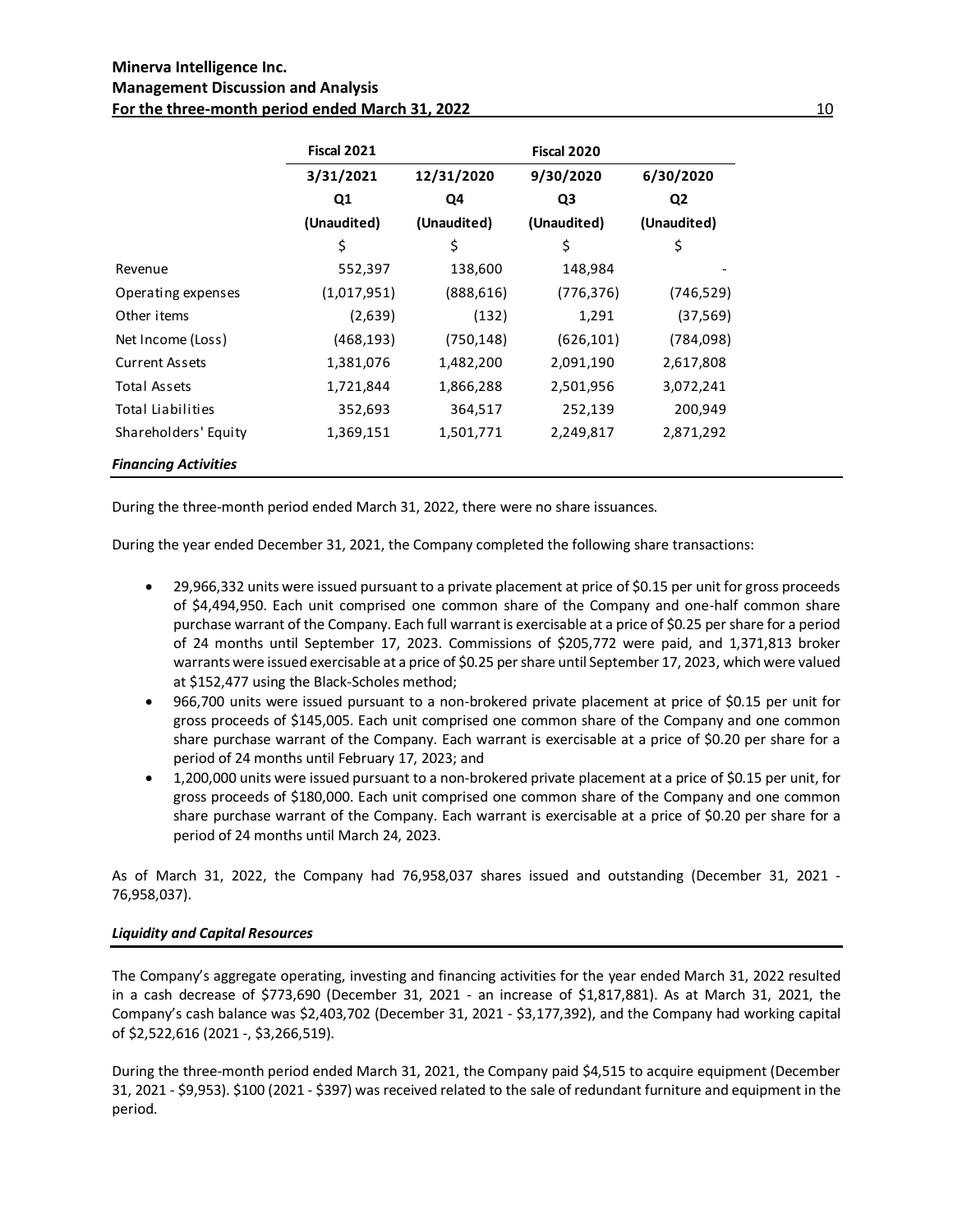# **Minerva Intelligence Inc. Management Discussion and Analysis For the three-month period ended March 31, 2022** 10 and 10 and 10 and 10 and 10 and 10 and 10 and 10 and 10 and 10 and 10 and 10 and 10 and 10 and 10 and 10 and 10 and 10 and 10 and 10 and 10 and 10 and 10 and 10 and 10 a

|                             | <b>Fiscal 2021</b> |             | Fiscal 2020 |                |
|-----------------------------|--------------------|-------------|-------------|----------------|
|                             | 3/31/2021          | 12/31/2020  | 9/30/2020   | 6/30/2020      |
|                             | Q <sub>1</sub>     | Q4          | Q3          | Q <sub>2</sub> |
|                             | (Unaudited)        | (Unaudited) | (Unaudited) | (Unaudited)    |
|                             | \$                 | \$          | \$          | \$             |
| Revenue                     | 552,397            | 138,600     | 148,984     |                |
| Operating expenses          | (1,017,951)        | (888,616)   | (776, 376)  | (746,529)      |
| Other items                 | (2,639)            | (132)       | 1,291       | (37, 569)      |
| Net Income (Loss)           | (468, 193)         | (750, 148)  | (626, 101)  | (784,098)      |
| <b>Current Assets</b>       | 1,381,076          | 1,482,200   | 2,091,190   | 2,617,808      |
| Total Assets                | 1,721,844          | 1,866,288   | 2,501,956   | 3,072,241      |
| Total Liabilities           | 352,693            | 364,517     | 252,139     | 200,949        |
| Shareholders' Equity        | 1,369,151          | 1,501,771   | 2,249,817   | 2,871,292      |
| <b>Financing Activities</b> |                    |             |             |                |

During the three-month period ended March 31, 2022, there were no share issuances.

During the year ended December 31, 2021, the Company completed the following share transactions:

- 29,966,332 units were issued pursuant to a private placement at price of \$0.15 per unit for gross proceeds of \$4,494,950. Each unit comprised one common share of the Company and one-half common share purchase warrant of the Company. Each full warrant is exercisable at a price of \$0.25 per share for a period of 24 months until September 17, 2023. Commissions of \$205,772 were paid, and 1,371,813 broker warrants were issued exercisable at a price of \$0.25 per share until September 17, 2023, which were valued at \$152,477 using the Black-Scholes method;
- 966,700 units were issued pursuant to a non-brokered private placement at price of \$0.15 per unit for gross proceeds of \$145,005. Each unit comprised one common share of the Company and one common share purchase warrant of the Company. Each warrant is exercisable at a price of \$0.20 per share for a period of 24 months until February 17, 2023; and
- 1,200,000 units were issued pursuant to a non-brokered private placement at a price of \$0.15 per unit, for gross proceeds of \$180,000. Each unit comprised one common share of the Company and one common share purchase warrant of the Company. Each warrant is exercisable at a price of \$0.20 per share for a period of 24 months until March 24, 2023.

As of March 31, 2022, the Company had 76,958,037 shares issued and outstanding (December 31, 2021 - 76,958,037).

# *Liquidity and Capital Resources*

The Company's aggregate operating, investing and financing activities for the year ended March 31, 2022 resulted in a cash decrease of \$773,690 (December 31, 2021 - an increase of \$1,817,881). As at March 31, 2021, the Company's cash balance was \$2,403,702 (December 31, 2021 - \$3,177,392), and the Company had working capital of \$2,522,616 (2021 -, \$3,266,519).

During the three-month period ended March 31, 2021, the Company paid \$4,515 to acquire equipment (December 31, 2021 - \$9,953). \$100 (2021 - \$397) was received related to the sale of redundant furniture and equipment in the period.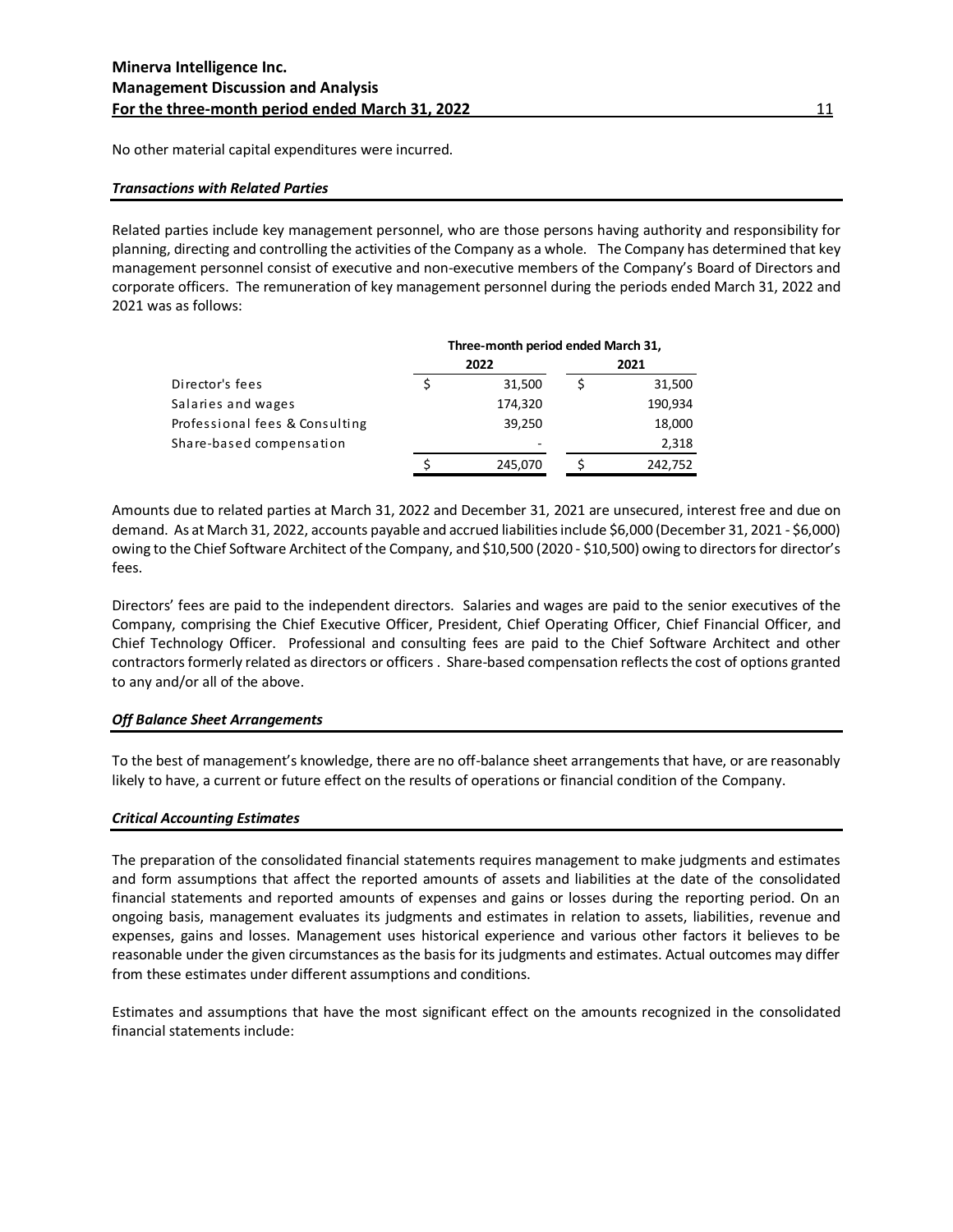No other material capital expenditures were incurred.

#### *Transactions with Related Parties*

Related parties include key management personnel, who are those persons having authority and responsibility for planning, directing and controlling the activities of the Company as a whole. The Company has determined that key management personnel consist of executive and non-executive members of the Company's Board of Directors and corporate officers. The remuneration of key management personnel during the periods ended March 31, 2022 and 2021 was as follows:

|                                | Three-month period ended March 31, |         |  |         |
|--------------------------------|------------------------------------|---------|--|---------|
|                                |                                    | 2022    |  | 2021    |
| Director's fees                |                                    | 31.500  |  | 31,500  |
| Salaries and wages             |                                    | 174,320 |  | 190,934 |
| Professional fees & Consulting |                                    | 39,250  |  | 18,000  |
| Share-based compensation       |                                    |         |  | 2,318   |
|                                |                                    | 245,070 |  | 242,752 |

Amounts due to related parties at March 31, 2022 and December 31, 2021 are unsecured, interest free and due on demand. As at March 31, 2022, accounts payable and accrued liabilities include \$6,000 (December 31, 2021 - \$6,000) owing to the Chief Software Architect of the Company, and \$10,500 (2020 - \$10,500) owing to directors for director's fees.

Directors' fees are paid to the independent directors. Salaries and wages are paid to the senior executives of the Company, comprising the Chief Executive Officer, President, Chief Operating Officer, Chief Financial Officer, and Chief Technology Officer. Professional and consulting fees are paid to the Chief Software Architect and other contractors formerly related as directors or officers . Share-based compensation reflects the cost of options granted to any and/or all of the above.

#### *Off Balance Sheet Arrangements*

To the best of management's knowledge, there are no off-balance sheet arrangements that have, or are reasonably likely to have, a current or future effect on the results of operations or financial condition of the Company.

#### *Critical Accounting Estimates*

The preparation of the consolidated financial statements requires management to make judgments and estimates and form assumptions that affect the reported amounts of assets and liabilities at the date of the consolidated financial statements and reported amounts of expenses and gains or losses during the reporting period. On an ongoing basis, management evaluates its judgments and estimates in relation to assets, liabilities, revenue and expenses, gains and losses. Management uses historical experience and various other factors it believes to be reasonable under the given circumstances as the basis for its judgments and estimates. Actual outcomes may differ from these estimates under different assumptions and conditions.

Estimates and assumptions that have the most significant effect on the amounts recognized in the consolidated financial statements include: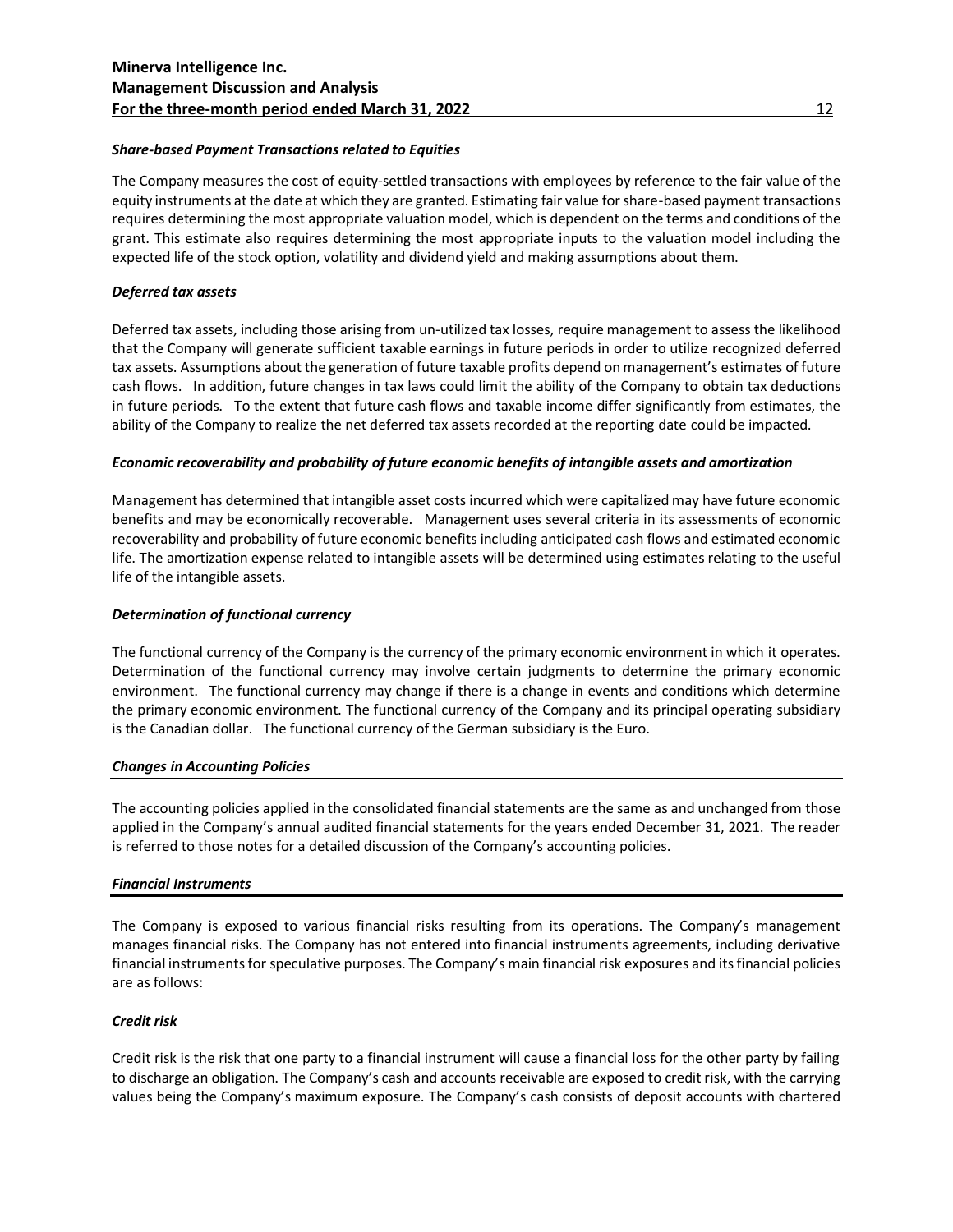# *Share-based Payment Transactions related to Equities*

The Company measures the cost of equity-settled transactions with employees by reference to the fair value of the equity instruments at the date at which they are granted. Estimating fair value for share-based payment transactions requires determining the most appropriate valuation model, which is dependent on the terms and conditions of the grant. This estimate also requires determining the most appropriate inputs to the valuation model including the expected life of the stock option, volatility and dividend yield and making assumptions about them.

# *Deferred tax assets*

Deferred tax assets, including those arising from un-utilized tax losses, require management to assess the likelihood that the Company will generate sufficient taxable earnings in future periods in order to utilize recognized deferred tax assets. Assumptions about the generation of future taxable profits depend on management's estimates of future cash flows. In addition, future changes in tax laws could limit the ability of the Company to obtain tax deductions in future periods. To the extent that future cash flows and taxable income differ significantly from estimates, the ability of the Company to realize the net deferred tax assets recorded at the reporting date could be impacted.

# *Economic recoverability and probability of future economic benefits of intangible assets and amortization*

Management has determined that intangible asset costs incurred which were capitalized may have future economic benefits and may be economically recoverable. Management uses several criteria in its assessments of economic recoverability and probability of future economic benefits including anticipated cash flows and estimated economic life. The amortization expense related to intangible assets will be determined using estimates relating to the useful life of the intangible assets.

# *Determination of functional currency*

The functional currency of the Company is the currency of the primary economic environment in which it operates. Determination of the functional currency may involve certain judgments to determine the primary economic environment. The functional currency may change if there is a change in events and conditions which determine the primary economic environment. The functional currency of the Company and its principal operating subsidiary is the Canadian dollar. The functional currency of the German subsidiary is the Euro.

# *Changes in Accounting Policies*

The accounting policies applied in the consolidated financial statements are the same as and unchanged from those applied in the Company's annual audited financial statements for the years ended December 31, 2021. The reader is referred to those notes for a detailed discussion of the Company's accounting policies.

#### *Financial Instruments*

The Company is exposed to various financial risks resulting from its operations. The Company's management manages financial risks. The Company has not entered into financial instruments agreements, including derivative financial instruments for speculative purposes. The Company's main financial risk exposures and its financial policies are as follows:

#### *Credit risk*

Credit risk is the risk that one party to a financial instrument will cause a financial loss for the other party by failing to discharge an obligation. The Company's cash and accounts receivable are exposed to credit risk, with the carrying values being the Company's maximum exposure. The Company's cash consists of deposit accounts with chartered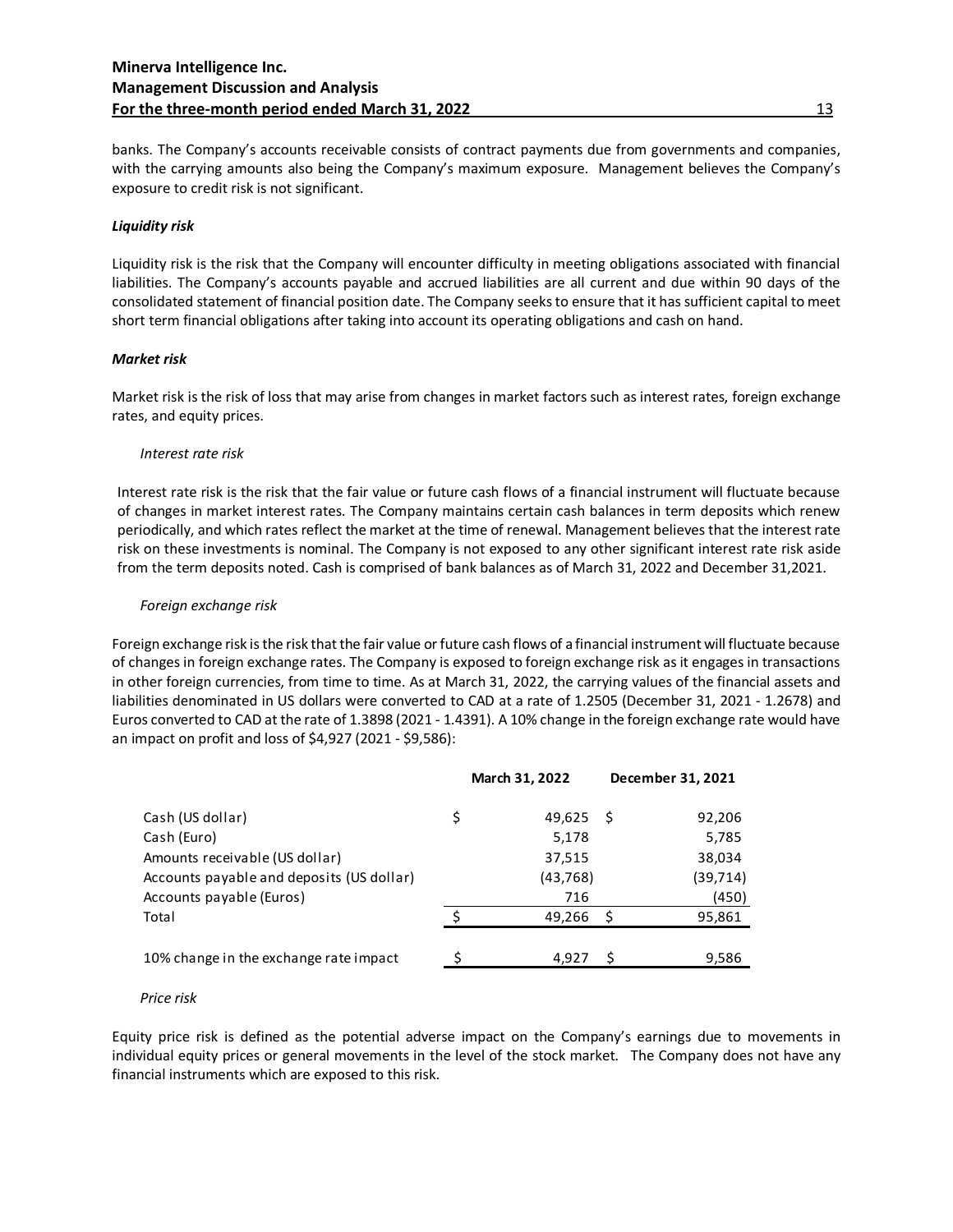banks. The Company's accounts receivable consists of contract payments due from governments and companies, with the carrying amounts also being the Company's maximum exposure. Management believes the Company's exposure to credit risk is not significant.

#### *Liquidity risk*

Liquidity risk is the risk that the Company will encounter difficulty in meeting obligations associated with financial liabilities. The Company's accounts payable and accrued liabilities are all current and due within 90 days of the consolidated statement of financial position date. The Company seeks to ensure that it has sufficient capital to meet short term financial obligations after taking into account its operating obligations and cash on hand.

# *Market risk*

Market risk is the risk of loss that may arise from changes in market factors such as interest rates, foreign exchange rates, and equity prices.

# *Interest rate risk*

Interest rate risk is the risk that the fair value or future cash flows of a financial instrument will fluctuate because of changes in market interest rates. The Company maintains certain cash balances in term deposits which renew periodically, and which rates reflect the market at the time of renewal. Management believes that the interest rate risk on these investments is nominal. The Company is not exposed to any other significant interest rate risk aside from the term deposits noted. Cash is comprised of bank balances as of March 31, 2022 and December 31,2021.

# *Foreign exchange risk*

Foreign exchange risk is the risk that the fair value or future cash flows of a financial instrument will fluctuate because of changes in foreign exchange rates. The Company is exposed to foreign exchange risk as it engages in transactions in other foreign currencies, from time to time. As at March 31, 2022, the carrying values of the financial assets and liabilities denominated in US dollars were converted to CAD at a rate of 1.2505 (December 31, 2021 - 1.2678) and Euros converted to CAD at the rate of 1.3898 (2021 - 1.4391). A 10% change in the foreign exchange rate would have an impact on profit and loss of \$4,927 (2021 - \$9,586):

|                                           |   | March 31, 2022 |     | December 31, 2021 |
|-------------------------------------------|---|----------------|-----|-------------------|
| Cash (US dollar)                          | Ś | 49,625         | - S | 92,206            |
| Cash (Euro)                               |   | 5,178          |     | 5,785             |
| Amounts receivable (US dollar)            |   | 37,515         |     | 38,034            |
| Accounts payable and deposits (US dollar) |   | (43, 768)      |     | (39, 714)         |
| Accounts payable (Euros)                  |   | 716            |     | (450)             |
| Total                                     |   | 49,266         | ς   | 95,861            |
|                                           |   |                |     |                   |
| 10% change in the exchange rate impact    |   | 4,927          | -S  | 9,586             |
|                                           |   |                |     |                   |

#### *Price risk*

Equity price risk is defined as the potential adverse impact on the Company's earnings due to movements in individual equity prices or general movements in the level of the stock market. The Company does not have any financial instruments which are exposed to this risk.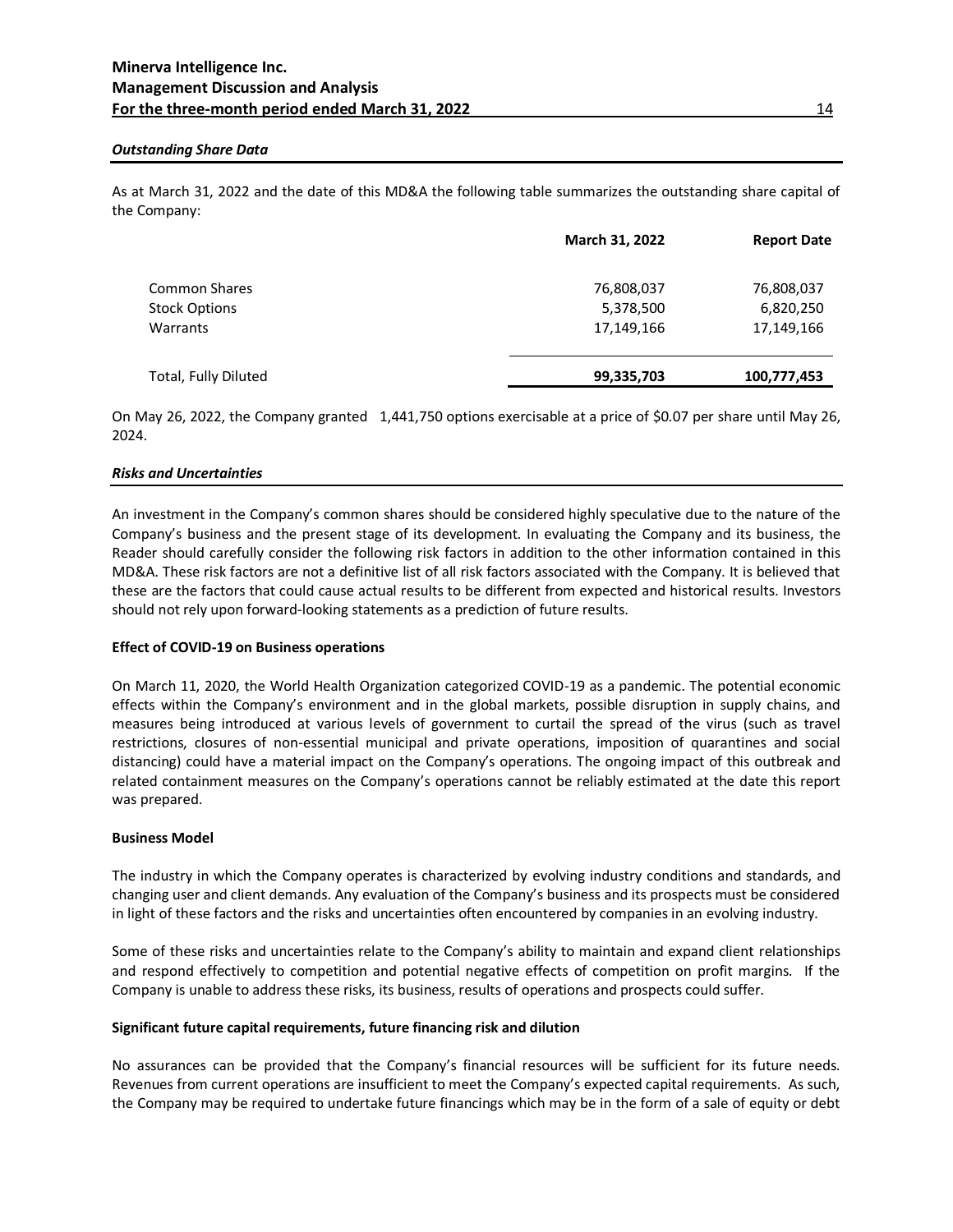#### *Outstanding Share Data*

As at March 31, 2022 and the date of this MD&A the following table summarizes the outstanding share capital of the Company:

|                      | <b>March 31, 2022</b> | <b>Report Date</b> |
|----------------------|-----------------------|--------------------|
| <b>Common Shares</b> | 76,808,037            | 76,808,037         |
| <b>Stock Options</b> | 5,378,500             | 6,820,250          |
| Warrants             | 17,149,166            | 17,149,166         |
| Total, Fully Diluted | 99,335,703            | 100,777,453        |

On May 26, 2022, the Company granted 1,441,750 options exercisable at a price of \$0.07 per share until May 26, 2024.

#### *Risks and Uncertainties*

An investment in the Company's common shares should be considered highly speculative due to the nature of the Company's business and the present stage of its development. In evaluating the Company and its business, the Reader should carefully consider the following risk factors in addition to the other information contained in this MD&A. These risk factors are not a definitive list of all risk factors associated with the Company. It is believed that these are the factors that could cause actual results to be different from expected and historical results. Investors should not rely upon forward-looking statements as a prediction of future results.

#### **Effect of COVID-19 on Business operations**

On March 11, 2020, the World Health Organization categorized COVID-19 as a pandemic. The potential economic effects within the Company's environment and in the global markets, possible disruption in supply chains, and measures being introduced at various levels of government to curtail the spread of the virus (such as travel restrictions, closures of non-essential municipal and private operations, imposition of quarantines and social distancing) could have a material impact on the Company's operations. The ongoing impact of this outbreak and related containment measures on the Company's operations cannot be reliably estimated at the date this report was prepared.

#### **Business Model**

The industry in which the Company operates is characterized by evolving industry conditions and standards, and changing user and client demands. Any evaluation of the Company's business and its prospects must be considered in light of these factors and the risks and uncertainties often encountered by companies in an evolving industry.

Some of these risks and uncertainties relate to the Company's ability to maintain and expand client relationships and respond effectively to competition and potential negative effects of competition on profit margins. If the Company is unable to address these risks, its business, results of operations and prospects could suffer.

#### **Significant future capital requirements, future financing risk and dilution**

No assurances can be provided that the Company's financial resources will be sufficient for its future needs. Revenues from current operations are insufficient to meet the Company's expected capital requirements. As such, the Company may be required to undertake future financings which may be in the form of a sale of equity or debt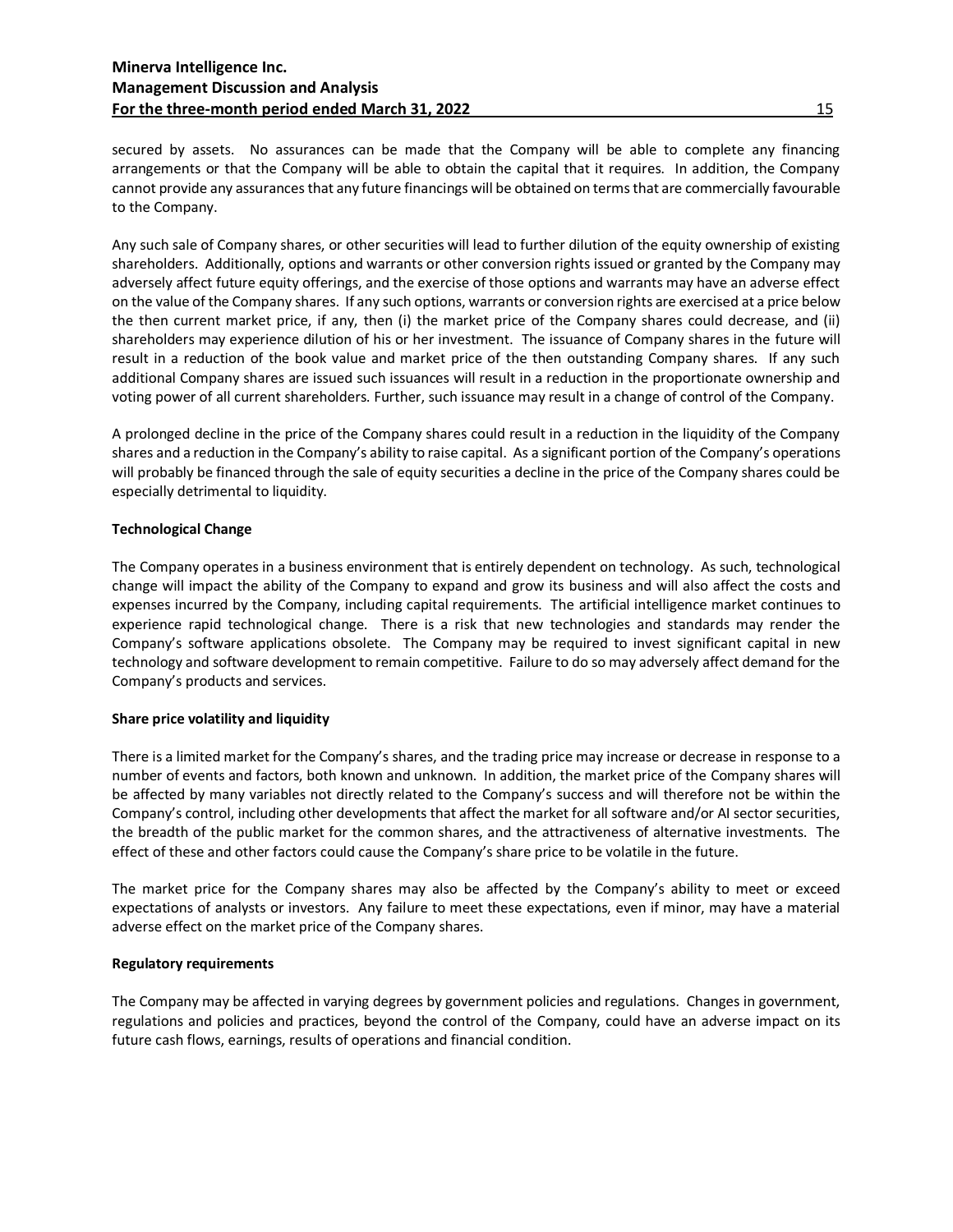secured by assets. No assurances can be made that the Company will be able to complete any financing arrangements or that the Company will be able to obtain the capital that it requires. In addition, the Company cannot provide any assurances that any future financings will be obtained on terms that are commercially favourable to the Company.

Any such sale of Company shares, or other securities will lead to further dilution of the equity ownership of existing shareholders. Additionally, options and warrants or other conversion rights issued or granted by the Company may adversely affect future equity offerings, and the exercise of those options and warrants may have an adverse effect on the value of the Company shares. If any such options, warrants or conversion rights are exercised at a price below the then current market price, if any, then (i) the market price of the Company shares could decrease, and (ii) shareholders may experience dilution of his or her investment. The issuance of Company shares in the future will result in a reduction of the book value and market price of the then outstanding Company shares. If any such additional Company shares are issued such issuances will result in a reduction in the proportionate ownership and voting power of all current shareholders. Further, such issuance may result in a change of control of the Company.

A prolonged decline in the price of the Company shares could result in a reduction in the liquidity of the Company shares and a reduction in the Company's ability to raise capital. As a significant portion of the Company's operations will probably be financed through the sale of equity securities a decline in the price of the Company shares could be especially detrimental to liquidity.

#### **Technological Change**

The Company operates in a business environment that is entirely dependent on technology. As such, technological change will impact the ability of the Company to expand and grow its business and will also affect the costs and expenses incurred by the Company, including capital requirements. The artificial intelligence market continues to experience rapid technological change. There is a risk that new technologies and standards may render the Company's software applications obsolete. The Company may be required to invest significant capital in new technology and software development to remain competitive. Failure to do so may adversely affect demand for the Company's products and services.

# **Share price volatility and liquidity**

There is a limited market for the Company's shares, and the trading price may increase or decrease in response to a number of events and factors, both known and unknown. In addition, the market price of the Company shares will be affected by many variables not directly related to the Company's success and will therefore not be within the Company's control, including other developments that affect the market for all software and/or AI sector securities, the breadth of the public market for the common shares, and the attractiveness of alternative investments. The effect of these and other factors could cause the Company's share price to be volatile in the future.

The market price for the Company shares may also be affected by the Company's ability to meet or exceed expectations of analysts or investors. Any failure to meet these expectations, even if minor, may have a material adverse effect on the market price of the Company shares.

#### **Regulatory requirements**

The Company may be affected in varying degrees by government policies and regulations. Changes in government, regulations and policies and practices, beyond the control of the Company, could have an adverse impact on its future cash flows, earnings, results of operations and financial condition.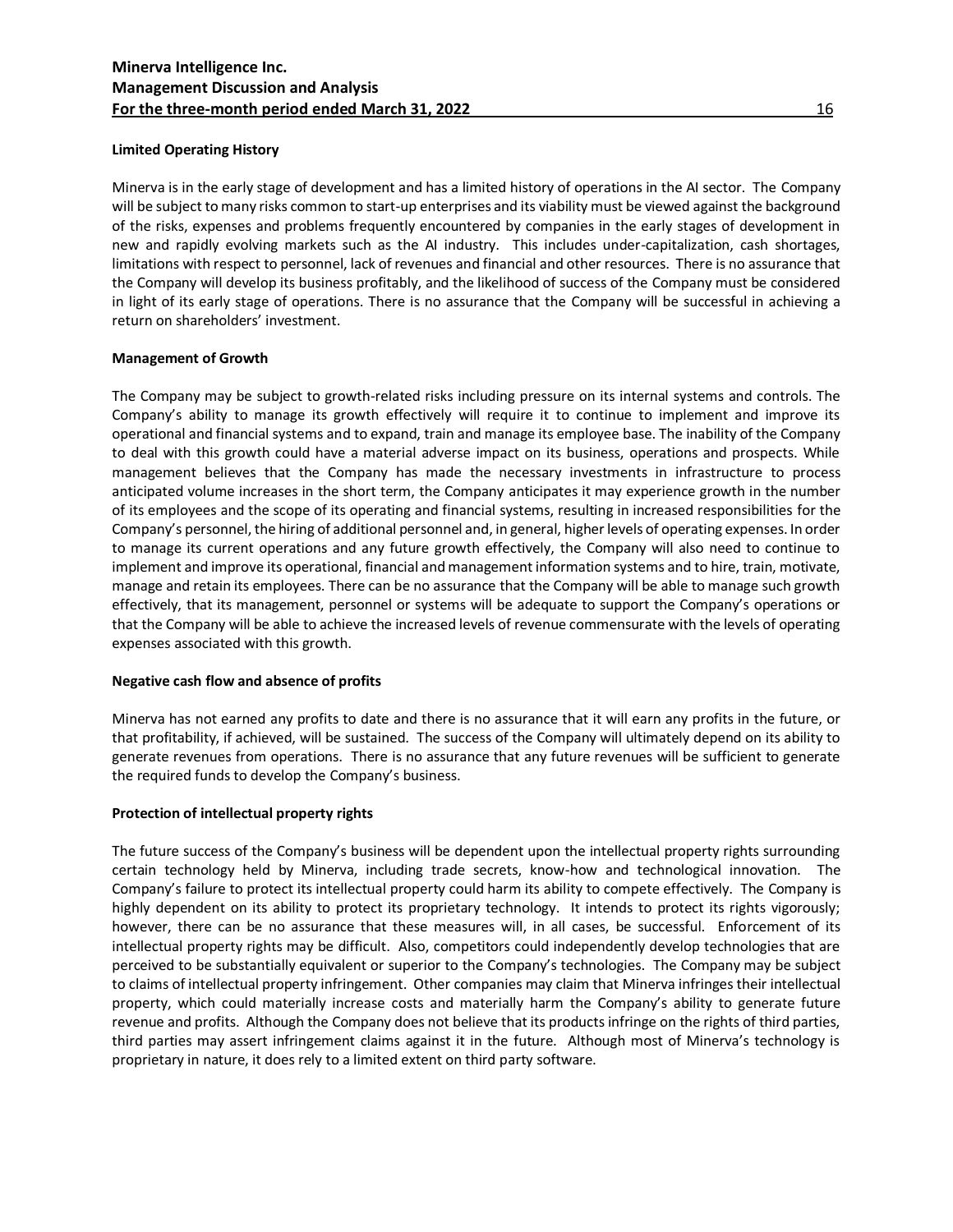# **Limited Operating History**

Minerva is in the early stage of development and has a limited history of operations in the AI sector. The Company will be subject to many risks common to start-up enterprises and its viability must be viewed against the background of the risks, expenses and problems frequently encountered by companies in the early stages of development in new and rapidly evolving markets such as the AI industry. This includes under-capitalization, cash shortages, limitations with respect to personnel, lack of revenues and financial and other resources. There is no assurance that the Company will develop its business profitably, and the likelihood of success of the Company must be considered in light of its early stage of operations. There is no assurance that the Company will be successful in achieving a return on shareholders' investment.

# **Management of Growth**

The Company may be subject to growth-related risks including pressure on its internal systems and controls. The Company's ability to manage its growth effectively will require it to continue to implement and improve its operational and financial systems and to expand, train and manage its employee base. The inability of the Company to deal with this growth could have a material adverse impact on its business, operations and prospects. While management believes that the Company has made the necessary investments in infrastructure to process anticipated volume increases in the short term, the Company anticipates it may experience growth in the number of its employees and the scope of its operating and financial systems, resulting in increased responsibilities for the Company's personnel, the hiring of additional personnel and, in general, higher levels of operating expenses. In order to manage its current operations and any future growth effectively, the Company will also need to continue to implement and improve its operational, financial and management information systems and to hire, train, motivate, manage and retain its employees. There can be no assurance that the Company will be able to manage such growth effectively, that its management, personnel or systems will be adequate to support the Company's operations or that the Company will be able to achieve the increased levels of revenue commensurate with the levels of operating expenses associated with this growth.

# **Negative cash flow and absence of profits**

Minerva has not earned any profits to date and there is no assurance that it will earn any profits in the future, or that profitability, if achieved, will be sustained. The success of the Company will ultimately depend on its ability to generate revenues from operations. There is no assurance that any future revenues will be sufficient to generate the required funds to develop the Company's business.

# **Protection of intellectual property rights**

The future success of the Company's business will be dependent upon the intellectual property rights surrounding certain technology held by Minerva, including trade secrets, know-how and technological innovation. The Company's failure to protect its intellectual property could harm its ability to compete effectively. The Company is highly dependent on its ability to protect its proprietary technology. It intends to protect its rights vigorously; however, there can be no assurance that these measures will, in all cases, be successful. Enforcement of its intellectual property rights may be difficult. Also, competitors could independently develop technologies that are perceived to be substantially equivalent or superior to the Company's technologies. The Company may be subject to claims of intellectual property infringement. Other companies may claim that Minerva infringes their intellectual property, which could materially increase costs and materially harm the Company's ability to generate future revenue and profits. Although the Company does not believe that its products infringe on the rights of third parties, third parties may assert infringement claims against it in the future. Although most of Minerva's technology is proprietary in nature, it does rely to a limited extent on third party software.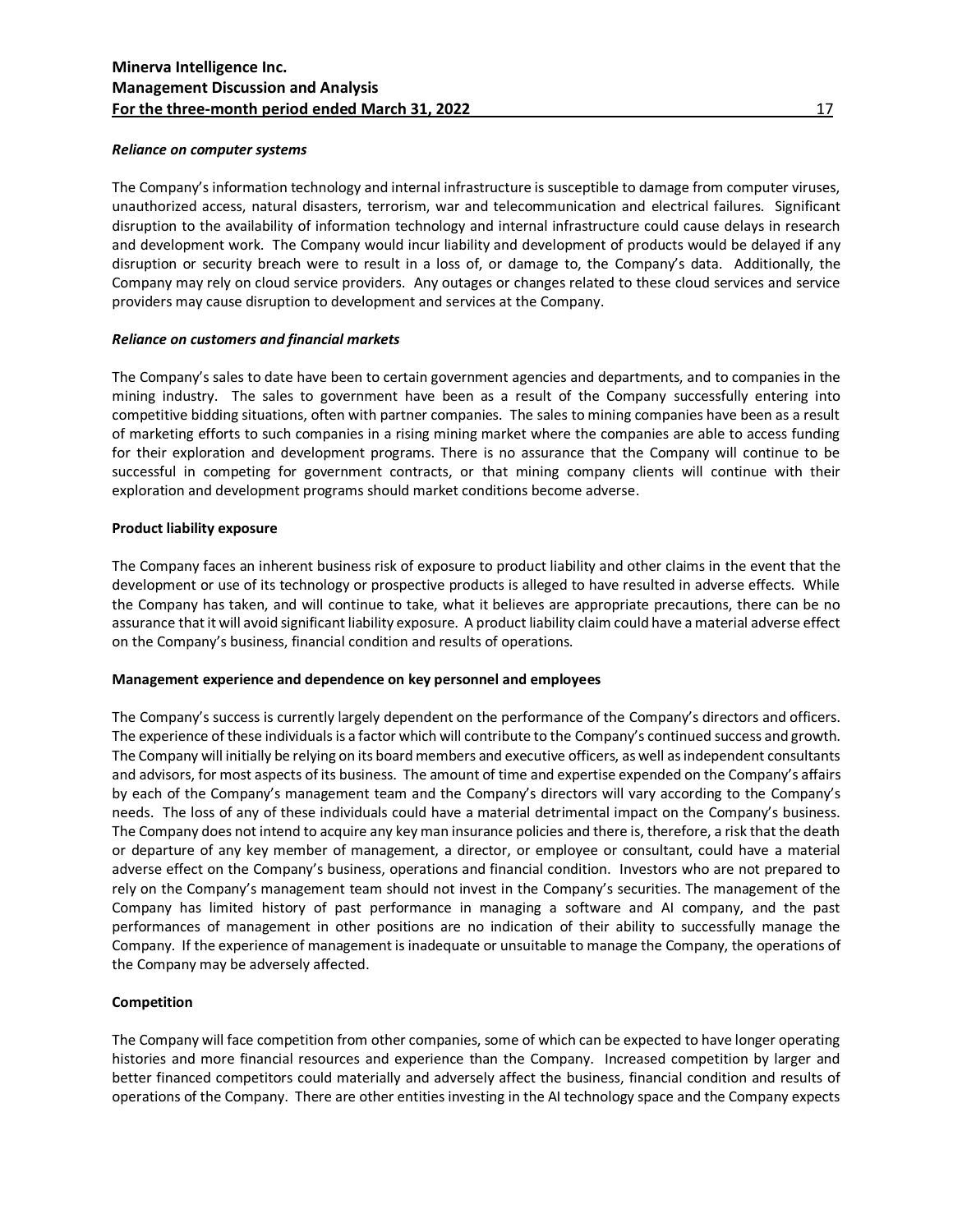# *Reliance on computer systems*

The Company's information technology and internal infrastructure is susceptible to damage from computer viruses, unauthorized access, natural disasters, terrorism, war and telecommunication and electrical failures. Significant disruption to the availability of information technology and internal infrastructure could cause delays in research and development work. The Company would incur liability and development of products would be delayed if any disruption or security breach were to result in a loss of, or damage to, the Company's data. Additionally, the Company may rely on cloud service providers. Any outages or changes related to these cloud services and service providers may cause disruption to development and services at the Company.

# *Reliance on customers and financial markets*

The Company's sales to date have been to certain government agencies and departments, and to companies in the mining industry. The sales to government have been as a result of the Company successfully entering into competitive bidding situations, often with partner companies. The sales to mining companies have been as a result of marketing efforts to such companies in a rising mining market where the companies are able to access funding for their exploration and development programs. There is no assurance that the Company will continue to be successful in competing for government contracts, or that mining company clients will continue with their exploration and development programs should market conditions become adverse.

# **Product liability exposure**

The Company faces an inherent business risk of exposure to product liability and other claims in the event that the development or use of its technology or prospective products is alleged to have resulted in adverse effects. While the Company has taken, and will continue to take, what it believes are appropriate precautions, there can be no assurance that it will avoid significant liability exposure. A product liability claim could have a material adverse effect on the Company's business, financial condition and results of operations.

#### **Management experience and dependence on key personnel and employees**

The Company's success is currently largely dependent on the performance of the Company's directors and officers. The experience of these individuals is a factor which will contribute to the Company's continued success and growth. The Company will initially be relying on its board members and executive officers, as well as independent consultants and advisors, for most aspects of its business. The amount of time and expertise expended on the Company's affairs by each of the Company's management team and the Company's directors will vary according to the Company's needs. The loss of any of these individuals could have a material detrimental impact on the Company's business. The Company does not intend to acquire any key man insurance policies and there is, therefore, a risk that the death or departure of any key member of management, a director, or employee or consultant, could have a material adverse effect on the Company's business, operations and financial condition. Investors who are not prepared to rely on the Company's management team should not invest in the Company's securities. The management of the Company has limited history of past performance in managing a software and AI company, and the past performances of management in other positions are no indication of their ability to successfully manage the Company. If the experience of management is inadequate or unsuitable to manage the Company, the operations of the Company may be adversely affected.

# **Competition**

The Company will face competition from other companies, some of which can be expected to have longer operating histories and more financial resources and experience than the Company. Increased competition by larger and better financed competitors could materially and adversely affect the business, financial condition and results of operations of the Company. There are other entities investing in the AI technology space and the Company expects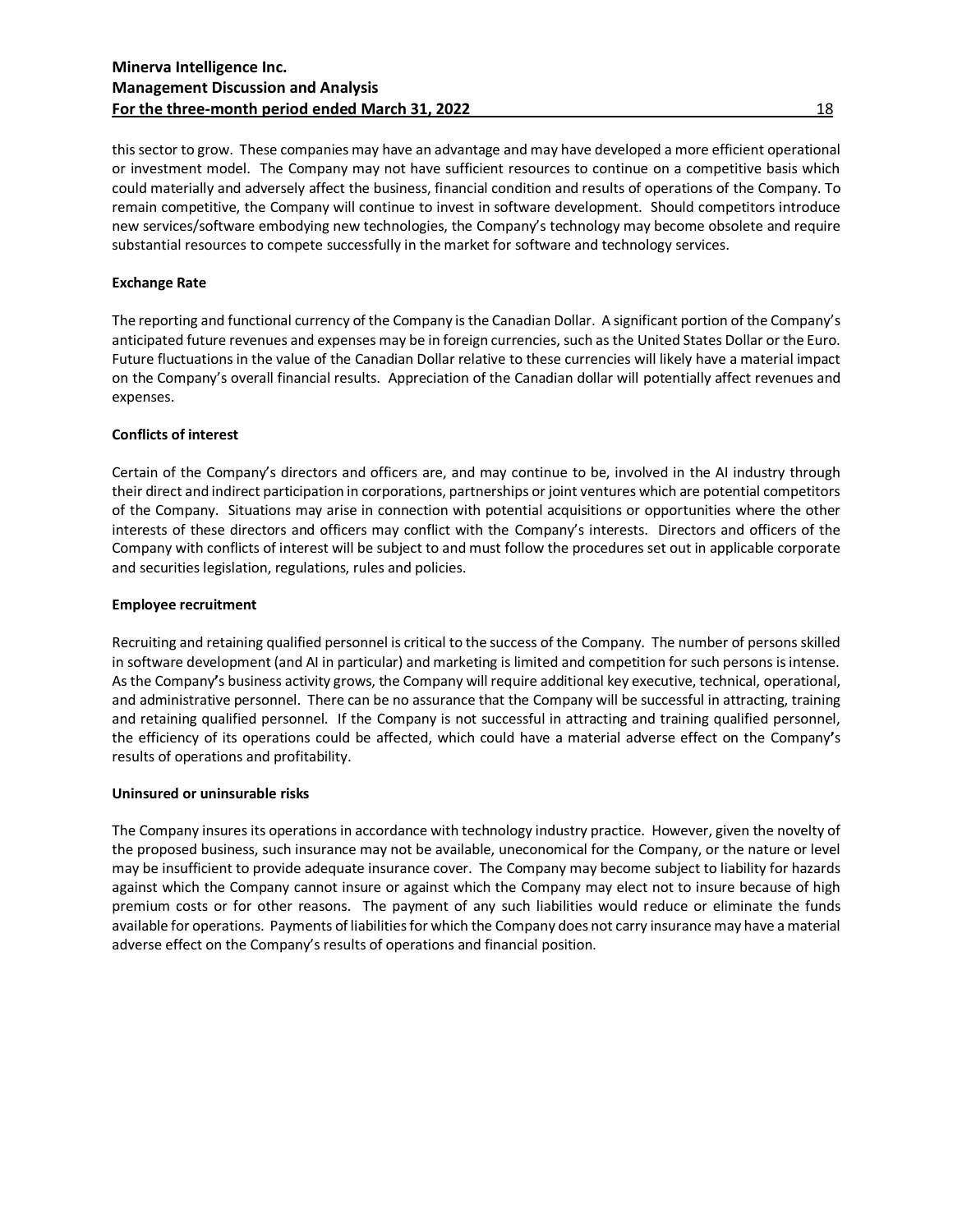# **Minerva Intelligence Inc. Management Discussion and Analysis For the three-month period ended March 31, 2022** 18 18

this sector to grow. These companies may have an advantage and may have developed a more efficient operational or investment model. The Company may not have sufficient resources to continue on a competitive basis which could materially and adversely affect the business, financial condition and results of operations of the Company. To remain competitive, the Company will continue to invest in software development. Should competitors introduce new services/software embodying new technologies, the Company's technology may become obsolete and require substantial resources to compete successfully in the market for software and technology services.

# **Exchange Rate**

The reporting and functional currency of the Company isthe Canadian Dollar. A significant portion of the Company's anticipated future revenues and expenses may be in foreign currencies, such as the United States Dollar or the Euro. Future fluctuations in the value of the Canadian Dollar relative to these currencies will likely have a material impact on the Company's overall financial results. Appreciation of the Canadian dollar will potentially affect revenues and expenses.

# **Conflicts of interest**

Certain of the Company's directors and officers are, and may continue to be, involved in the AI industry through their direct and indirect participation in corporations, partnerships or joint ventures which are potential competitors of the Company. Situations may arise in connection with potential acquisitions or opportunities where the other interests of these directors and officers may conflict with the Company's interests. Directors and officers of the Company with conflicts of interest will be subject to and must follow the procedures set out in applicable corporate and securities legislation, regulations, rules and policies.

#### **Employee recruitment**

Recruiting and retaining qualified personnel is critical to the success of the Company. The number of persons skilled in software development (and AI in particular) and marketing is limited and competition for such persons is intense. As the Company**'**s business activity grows, the Company will require additional key executive, technical, operational, and administrative personnel. There can be no assurance that the Company will be successful in attracting, training and retaining qualified personnel. If the Company is not successful in attracting and training qualified personnel, the efficiency of its operations could be affected, which could have a material adverse effect on the Company**'**s results of operations and profitability.

#### **Uninsured or uninsurable risks**

The Company insures its operations in accordance with technology industry practice. However, given the novelty of the proposed business, such insurance may not be available, uneconomical for the Company, or the nature or level may be insufficient to provide adequate insurance cover. The Company may become subject to liability for hazards against which the Company cannot insure or against which the Company may elect not to insure because of high premium costs or for other reasons. The payment of any such liabilities would reduce or eliminate the funds available for operations. Payments of liabilities for which the Company does not carry insurance may have a material adverse effect on the Company's results of operations and financial position.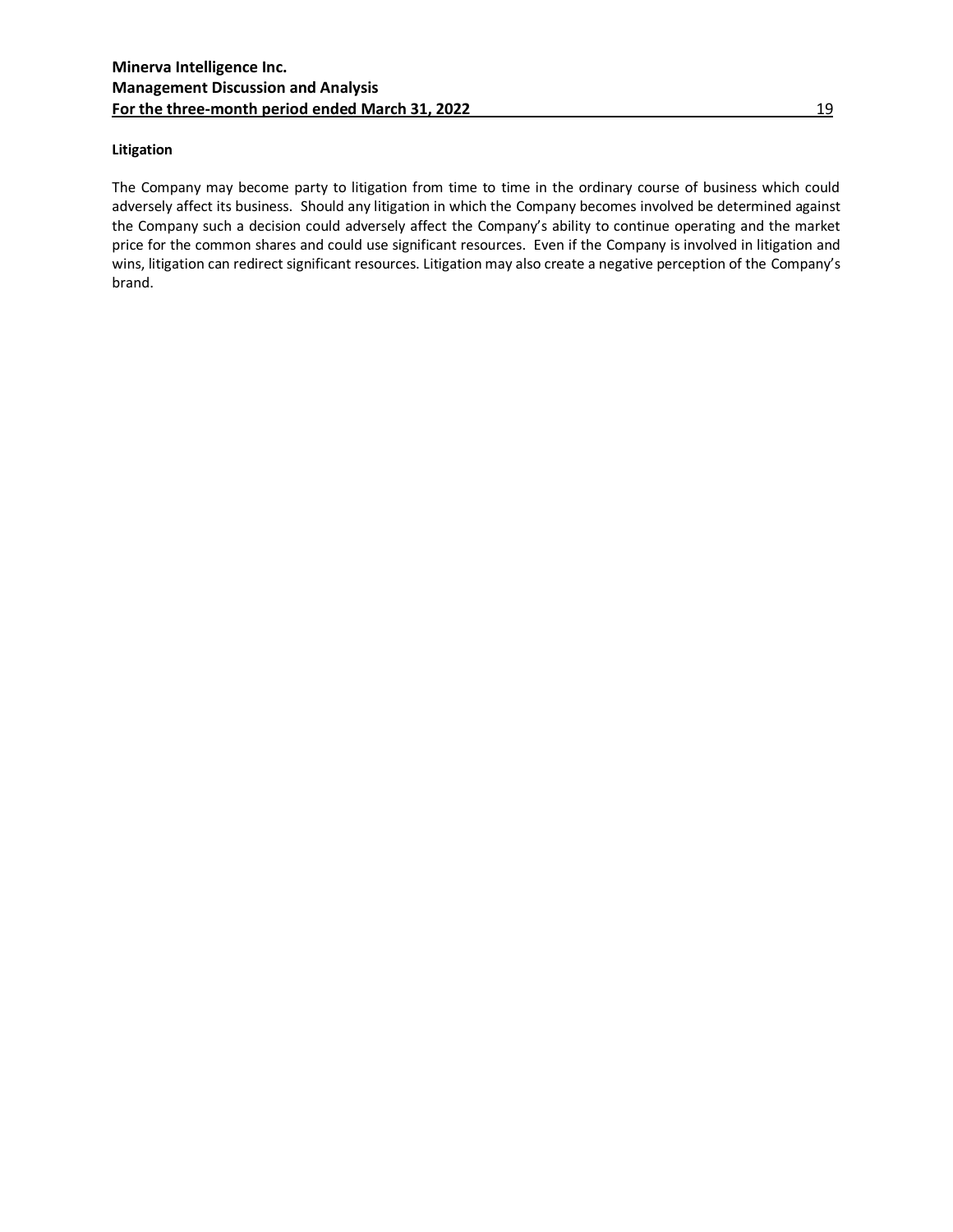# **Litigation**

The Company may become party to litigation from time to time in the ordinary course of business which could adversely affect its business. Should any litigation in which the Company becomes involved be determined against the Company such a decision could adversely affect the Company's ability to continue operating and the market price for the common shares and could use significant resources. Even if the Company is involved in litigation and wins, litigation can redirect significant resources. Litigation may also create a negative perception of the Company's brand.